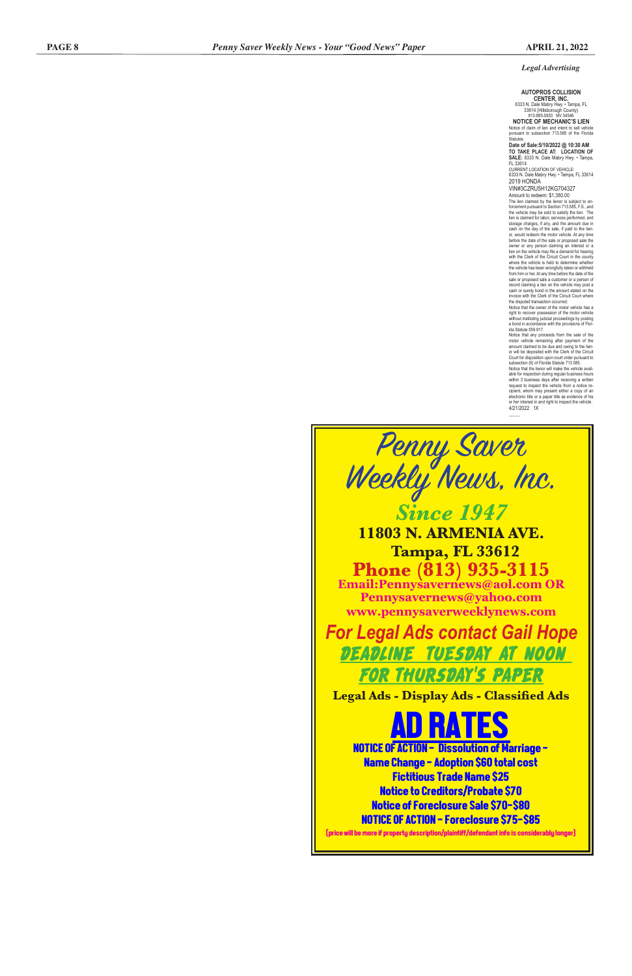### *Legal Advertising*

### **AUTOPROS COLLISION CENTER, INC.**

6333 N. Dale Mabry Hwy. • Tampa, FL 33614 (Hillsborough County) 813-885-5933 MV 54546

**NOTICE OF MECHANIC'S LIEN** Notice of claim of lien and intent to sell vehicle pursuant to subsection 713.585 of the Florida Statutes.

**Date of Sale:5/10/2022 @ 10:30 AM TO TAKE PLACE AT: LOCATION OF SALE:** 6333 N. Dale Mabry Hwy. • Tampa, FL 33614

CURRENT LOCATION OF VEHICLE: 6333 N. Dale Mabry Hwy. • Tampa, FL 33614 2019 HONDA

VIN#3CZRU5H12KG704327

Amount to redeem: \$1,380.00 The lien claimed by the lienor is subject to enforcement pursuant to Section 713.585, F.S., and the vehicle may be sold to satisfy the lien. The lien is claimed for labor, services performed, and storage charges, if any, and the amount due in cash on the day of the sale, if paid to the lien-or, would redeem the motor vehicle. At any time before the date of the sale or proposed sale the owner or any person claiming an interest or a lien on the vehicle may file a demand for hearing with the Clerk of the Circuit Court in the county where the vehicle is held to determine whether the vehicle has been wrongfully taken or withheld from him or her. At any time before the date of the sale or proposed sale a customer or a person of record claiming a lien on the vehicle may post a cash or surety bond in the amount stated on the invoice with the Clerk of the Circuit Court where the disputed transaction occurred.

Notice that the lienor will make the vehicle available for inspection during regular business hours within 3 business days after receiving a written request to inspect the vehicle from a notice recipient, whom may present either a copy of an electronic title or a paper title as evidence of his or her interest in and right to inspect the vehicle. 4/21/2022 1X

 $\mathcal{L}$ 

**D RATES** NOTICE OF ACTION - Dissolution of Marriage - Name Change - Adoption \$60 total cost Fictitious Trade Name \$25 Notice to Creditors/Probate \$70 Notice of Foreclosure Sale \$70-\$80 NOTICE OF ACTION - Foreclosure \$75-\$85

Notice that the owner of the motor vehicle has a right to recover possession of the motor vehicle without instituting judicial proceedings by posting a bond in accordance with the provisions of Florida Statute 559.917.

Notice that any proceeds from the sale of the motor vehicle remaining after payment of the amount claimed to be due and owing to the lien-or will be deposited with the Clerk of the Circuit Court for disposition upon court order pursuant to subsection (6) of Florida Statute 713.585.





(price will be more if property description/plaintiff/defendant info is considerably longer)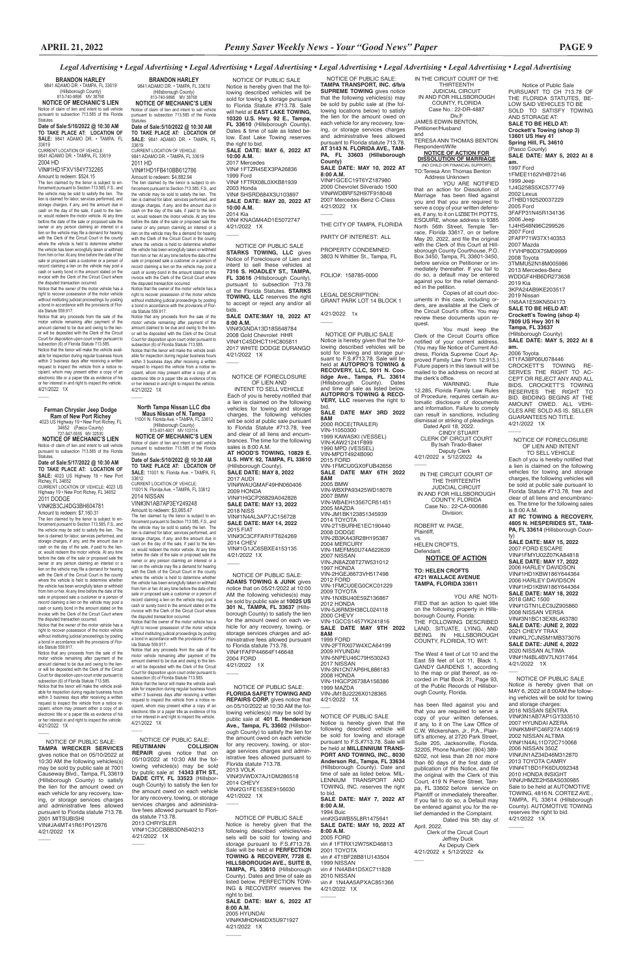Notice of Public Sale PURSUANT TO CH 713.78 OF THE FLORIDA STATUTES, BE-LOW SAID VEHICLES TO BE SOLD TO SATISFY TOWING AND STORAGE AT: **SALE TO BE HELD AT: Crockett's Towing (shop 3) 13601 US Hwy 41 Spring Hill, FL 34610** (Pasco County) **SALE DATE: MAY 5, 2022 At 8 am.** 1997 Ford 1FMEE1162VHB72146

1999 Jeep 1J4G258S5XC577749 2002 Lexus JTHBD192520037229 2005 Ford 3FAFP31N45R134136 2006 Jeep 1J4HS48N96C299526 2007 Ford 2FAFP71W37X140353 2007 Mazda 1YVHP80DX75M09999 2008 Toyota 3TMMU52N18M005986 2013 Mercedes-Benz WDDGF4HB6DR273638 2019 Kia 3KPA24AB9KE203517 2019 Nissan 1N6AA1E59KN504173 **SALE TO BE HELD AT: Crockett's Towing (shop 4) 7809 US Hwy 301 N Tampa, FL 33637** (Hillsborough County)

INTENT TO SELL VEHICLE Each of you is hereby notified that a lien is claimed on the following vehicles for towing and storage charges, the following vehicles will be sold at public sale pursuant to Florida Statute #713.78, free and clear of all liens and encumbrances. The time for the following sales is 8:00 A.M. **AT HOOD'S TOWING, 10829 E. U.S. HWY. 92, TAMPA, FL 33610**  (Hillsborough County). **SALE DATE: MAY 8, 2022** 2017 AUDI VIN#WAUGMAF49HN060406 2009 HONDA VIN#1HGCP26829A042826 **SALE DATE: MAY 13, 2022** 2018 NISS VIN#1N4AL3AP7JC156728 **SALE DATE: MAY 14, 2022** 2015 FIAT VIN#3C3CFFAR1FT624269 2014 CHEV VIN#1G1JC6SBXE4153135 4/21/2022 1X  $\overline{\phantom{a}}$ 

**SALE DATE: MAY 5, 2022 At 8 am.**

2006 Toyota 4T1FA38P06U078446

 $\overline{\phantom{a}}$ 

CROCKETT'S TOWING RE-SERVES THE RIGHT TO AC-CEPT OR REJECT ANY AND ALL BIDS. CROCKETT'S TOWING RESERVES THE RIGHT TO BID. BIDDING BEGINS AT THE AMOUNT OWED. ALL VEHI-CLES ARE SOLD AS IS. SELLER GUARANTEES NO TITLE. 4/21/2022 1X

*Legal Advertising • Legal Advertising • Legal Advertising • Legal Advertising • Legal Advertising • Legal Advertising • Legal Advertising • Legal Advertising*

NOTICE OF FORECLOSURE OF LIEN AND

 $\overline{\phantom{a}}$ 

NOTICE OF FORECLOSURE OF LIEN AND INTENT

TO SELL VEHICLE Each of you is hereby notified that a lien is claimed on the following vehicles for towing and storage charges, the following vehicles will be sold at public sale pursuant to Florida Statute #713.78, free and clear of all liens and encumbrances. The time for the following sales is 8:00 A.M.

YOU ARE NOTIFIED<br>that an action for Dissolution of Marriage has been filed against you and that you are required to serve a copy of your written defens-es, if any, to it on LIZBETH POTTS, ESQUIRE, whose address is 9385 North 56th Street, Temple Ter-race, Florida 33617, on or before May 20, 2022, and file the original with the Clerk of this Court at Hillsborough County Courthouse, P.O. Box 3450, Tampa, FL 33601-3450, before service on Petitioner or immediately thereafter. If you fail to do so, a default may be entered against you for the relief demand-ed in the petition.

> **AT RC TOWING & RECOVERY, 4805 N. HESPERIDES ST., TAM-PA, FL 33614** (Hillsborough Coun-

 Deputy Clerk 4/21/2022 x 5/12/2022 4x  $\overline{\phantom{a}}$ 

> ty) **SALE DATE: MAY 15, 2022** 2007 FORD ESCAPE VIN#1FMYU02Z07KA84818 **SALE DATE: MAY 17, 2022**  2006 HARLEY DAVIDSON VIN#1HD1KBW186Y644364 2006 HARLEY DAVIDSON VIN#1HD1KBW186Y644364 **SALE DATE: MAY 18, 2022** 2018 GMC 1500 VIN#1GTN1LEC9JZ905860 2008 NISSAN VERSA VIN#3N1BC13EX8L463780 **SALE DATE: JUNE 2, 2022** 2021 CHEVY TRAX VIN#KL7CJNSM1MB373076 **SALE DATE: JUNE 4, 2022**  2020 NISSAN ALTIMA VIN#1N4BL4BV7LN317464 4/21/2022 1X

 $\overline{\phantom{a}}$ 

 $\overline{\phantom{a}}$ 

### vs. HELEN CROFTS, **Defendant**

YOU ARE NOTI-FIED that an action to quiet title on the following property in Hillsborough County, Florida: THE FOLLOWING DESCRIBED LAND, SITUATE, LYING, AND BEING IN HILLSBOROUGH COUNTY, FLORIDA, TO WIT:

> NOTICE OF PUBLIC SALE Notice is hereby given that on MAY 6, 2022 at 8:00AM the following vehicles will be sold for towing and storage charges: 2016 NISSAN SENTRA  $VINH2N1APZAD1CV$ 2007 HYUNDAI AZERA VIN#KMHFC46F27A140619 2002 NISSAN ALTIMA VIN#1N4AL11D72C710068 2006 NISSAN 350Z VIN#JN1AZ34D46M312870 2013 TOYOTA CAMRY VIN#4T1BD1FK6DU092348 2010 HONDA INSIGHT VIN#JHMZE2H58AS030985 Sale to be held at AUTOMOTIVE TOWING, 4816 N. CORTEZ AVE., TAMPA, FL 33614 (Hillsborough County). AUTOMOTIVE TOWING reserves the right to bid. 4/21/2022 1X

IN THE CIRCUIT COURT OF THE THIRTEENTH JUDICIAL CIRCUIT IN AND FOR HILLSBOROUGH COUNTY, FLORIDA Case No.: 22-DR-4887 Div.F JAMES EDWIN BENTON, Petitioner/Husband and

**8:00 A.M.** VIN#1GCEC19T6YZ187980 2000 Chevrolet Silverado 1500 VIN#WDBRF52H97F918048 2007 Mercedes-Benz C-Class 4/21/2022 1X  $\overline{\phantom{a}}$ 

TERESA ANN THOMAS BENTON Respondent/Wife

## **NOTICE OF ACTION FOR**

**DISSOLUTION OF MARRIAGE** (NO CHILD OR FINANCIAL SUPPORT) TO:Teresa Ann Thomas Benton Address Unknown

Copies of all court doc-uments in this case, including orders, are available at the Clerk of the Circuit Court's office. You may review these documents upon request.

 NOTICE OF PUBLIC SALE Notice is hereby given that the following described vehicles will be sold for towing & storage pursuant to Florida Statute #713.78. Sale will held at **EAST LAKE TOWING, 10320 U.S. Hwy. 92 E., Tampa, FL 33610** (Hillsborough County). Dates & time of sale as listed below. East Lake Towing reserves the right to bid. **SALE DATE: MAY 6, 2022 AT 10:00 A.M.** 2017 Mercedes VIN# 1FTZR45EX3PA26836 1999 Ford VIN# 1FTRX08L0XKB81939 2003 Honda VIN# SHSRD684X3U103897 **SALE DATE: MAY 20, 2022 AT 10:00 A.M.** 2014 Kia VIN# KNAGM4AD1E5072747 4/21/2022 1X  $\overline{\phantom{a}}$ 

> You must keep the Clerk of the Circuit Court's office notified of your current address. (You may file Notice of Current Address, Florida Supreme Court Approved Family Law Form 12.915.) Future papers in this lawsuit will be mailed to the address on record at the clerk's office. WARNING: Rule

> 12.285, Florida Family Law Rules of Procedure, requires certain au-tomatic disclosure of documents and information. Failure to comply can result in sanctions, including dismissal or striking of pleadings.

 Dated April 18, 2022. CINDY STUART CLERK OF CIRCUIT COURT By:Isah Tirado-Baker

IN THE CIRCUIT COURT OF THE THIRTEENTH JUDICIAL CIRCUIT IN AND FOR HILLSBOROUGH COUNTY, FLORIDA Case No.: 22-CA-000686

Division:

ROBERT W. PAGE, Plaintiff,

**NOTICE OF ACTION TO: HELEN CROFTS**

### **4721 WALLACE AVENUE TAMPA, FLORIDA 33611**

Statutes **Date of Sale:5/10/2022 @ 10:30 AM TO TAKE PLACE AT: LOCATION OF** 

> The West 4 feet of Lot 10 and the East 59 feet of Lot 11, Black 1, GANDY GARDENS 1, according to the map or plat thereof, as recorded in Plat Book 31, Page 93, of the Public Records of Hillsborough County, Florida.

has been filed against you and that you are required to serve a copy of your written defenses, if any, to it on The Law Office of C.W. Wickersham, Jr., P.A., Plaintiff's attorney, at 2720 Park Street, Suite 205, Jacksonville, Florida, 32205, Phone Number: (904) 389- 6202, not less than 28 nor more than 60 days of the first date of publication of this Notice, and file the original with the Clerk of this Court, 419 N Pierce Street, Tampa, FL 33602 before service on Plaintiff or immediately thereafter. If you fail to do so, a Default may be entered against you for the relief demanded in the Complaint. Dated this 5th day of April, 2022.

 Clerk of the Circuit Court Jeffrey Duck As Deputy Clerk 4/21/2022 x 5/12/2022 4x

 $\overline{\phantom{a}}$ 

Notice of claim of lien and intent to sell vehicle pursuant to subsection 713.585 of the Florida **Statutes** 

NOTICE OF PUBLIC SALE:

**TAMPA TRANSPORT, INC. d/b/a SUPREME TOWING** gives notice that the following vehicles(s) may be sold by public sale at (the following locations below) to satisfy the lien for the amount owed on each vehicle for any recovery, towing, or storage services charges and administrative fees allowed pursuant to Florida statute 713.78. **AT 3143 N. FLORIDA AVE., TAM-PA, FL 33603 (Hillsborough County) SALE DATE: MAY 10, 2022 AT** 

## THE CITY OF TAMPA, FLORIDA

PARTY OF INTEREST: ALL PROPERTY CONDEMNED:

3803 N Whittier St., Tampa, FL

FOLIO#: 158785-0000

LEGAL DESCRIPTION: GRANT PARK LOT 14 BLOCK 1

4/21/2022 1x

 $\overline{\phantom{a}}$  NOTICE OF PUBLIC SALE Notice is hereby given that the fol-lowing described vehicles will be sold for towing and storage pur-suant to F.S.#713.78. Sale will be held at **AUTOPRO'S TOWING & RECOVERY, LLC, 5011 N. Coo-lidge Ave., Tampa, FL. 33614** (Hillsborough County). Dates and time of sale as listed below. **AUTOPRO'S TOWING & RECO-VERY, LLC** reserves the right to bid. **SALE DATE MAY 3RD 2022 8AM** 2000 ROCE(TRAILER) VIN-11050300 1999 KAWASKI (VESSEL) VIN-KAW21241F899 1990 MPD (VESSEL) VIN-MPDT4924B090 2015 FORD<br>VIN-1FMCU0GX0FUB42656<br>**SALE DATE MAY 6TH 2022 8AM** 2005 BMW VIN-WBXPA93425WD18078 2007 BMW VIN-WBAEH13567CR51451 2005 MAZDA VIN-JM1BK123851345939 2014 TOYOTA VIN-2T1BURHE1EC190440 2008 DODGE VIN-2B3KA43R28H195387 2004 MERCURY VIN-1MEFM50U74A622639 2007 NISSAN VIN-JN8AZ08T27W531012 1997 HONDA VIN-2HGEJ6673VH517498 2012 FORD VIN-1FMCU0EG0CKC01229 2009 TOYOTA VIN-1NXBU40E59Z136867 2012 HONDA VIN-5J6RM3H38CL024118 2000 CHEVY VIN-1GCCS1457YK241816 **SALE DATE MAY 9TH 2022 8AM** 1999 FORD VIN-2FTRX07W4XCA64199 2009 HYUNDAI VIN-5NPEU46C79H530243 2017 NISSAN VIN-3N1CN7AP6HL886183 2008 HONDA VIN-1HGCP26738A156386 1999 MAZDA VIN-JM1BJ2226X0128365 4/21/2022 1X  $\overline{\phantom{a}}$ 

NOTICE OF PUBLIC SALE

Notice is hereby given that the following described vehicle will be sold for towing and storage pursuant to F.S.#713.78. Sale will be held at **MILLENNIUM TRANS-PORT AND TOWING, INC., 8030 Anderson Rd., Tampa, FL 33634** (Hillsborough County). Date and time of sale as listed below. MIL-LENNIUM TRANSPORT AND TOWING, INC. reserves the right to bid. **SALE DATE: MAY 7, 2022 AT 8:00 A.M.** 1994 Buic vin#2G4WB55L8R1475641 **SALE DATE: MAY 10, 2022 AT 8:00 A.M.** 2005 FORD vin # 1FTRX12W75KD46813 2001 TOYOTA vin # 4T1BF28B81U143504 1999 NISSAN vin # 1N4AB41D5XC711828 2010 NISSAN vin # 1N4AA5APXAC851366 4/21/2022 1X

 $\overline{\phantom{a}}$ 

n and right to inspect the vehicle 4/21/2022 1X

 $\mathcal{L}$ 

### NOTICE OF PUBLIC SALE **STARKS TOWING, LLC** gives Notice of Foreclosure of Lien and intent to sell these vehicles at **7316 S. HOADLEY ST., TAMPA, FL 33616** (Hillsborough County), pursuant to subsection 713.78 of the Florida Statutes. **STARKS TOWING, LLC** reserves the right to accept or reject any and/or all bids.

public sale at **401 E. Henderson Ave., Tampa, FL 33602** (Hillsborough County) to satisfy the lien for the amount owed on each vehicle for any recovery, towing, or storage services charges and administrative fees allowed pursuant to Florida statute 713.78. 2013 VOLK VIN#3VWDX7AJ1DM286518 2014 CHEVY VIN#2G1FE1E35E9156030 4/21/2022 1X  $\overline{\phantom{a}}$ 

**SALE DATE:MAY 18, 2022 AT 8:00 A.M.** VIN#3GNDA13D18S648784 2008 Gold Chevrolet HHR VIN#1C4SDHCT1HC805811 2017 WHITE DODGE DURANGO 4/21/2022 1X

 NOTICE OF PUBLIC SALE: **TAMPA WRECKER SERVICES** gives notice that on 05/10/2022 at 10:30 AM the following vehicles(s) may be sold by public sale at 7001 Causeway Blvd., Tampa, FL 33619 (Hillsborough County) to satisfy the lien for the amount owed on each vehicle for any recovery, towing, or storage services charges and administrative fees allowed pursuant to Florida statute 713.78. 2001 MITSUBISHI VIN#JA4MT41R61P012976 4/21/2022 1X  $\overline{\phantom{a}}$ 

 NOTICE OF PUBLIC SALE: **ADAMS TOWING & JUNK** gives notice that on 05/21/2022 at 10:00 AM the following vehicles(s) may be sold by public sale at **10025 US 301 N., TAMPA, FL 33637** (Hillsborough County) to satisfy the lien for the amount owed on each vehicle for any recovery, towing, or storage services charges and administrative fees allowed pursuant to Florida statute 713.78. VIN#1FAFP44664F146648 2004 FORD 4/21/2022 1X

**BRANDON HARLEY** 9841 ADAMO DR. • TAMPA, FL 33619 (Hillsborough County)

813-740-9898 MV 38768 **NOTICE OF MECHANIC'S LIEN** Notice of claim of lien and intent to sell vehicle pursuant to subsection 713.585 of the Florida

**SALE:** 9841 ADAMO DR. • TAMPA, FL 33619 CURRENT LOCATION OF VEHICLE: 9841 ADAMO DR. • TAMPA, FL 33619 2011 HD

### VIN#1HD1FB410BB612786

Amount to redeem: \$4,882.94 The lien claimed by the lienor is subiect to enforcement pursuant to Section 713.585, F.S., and the vehicle may be sold to satisfy the lien. The lien is claimed for labor, services performed, and storage charges, if any, and the amount due in cash on the day of the sale, if paid to the lienor, would redeem the motor vehicle. At any time before the date of the sale or proposed sale the owner or any person claiming an interest or a lien on the vehicle may file a demand for hearing with the Clerk of the Circuit Court in the county where the vehicle is held to determine whether the vehicle has been wrongfully taken or withheld from him or her. At any time before the date of the sale or proposed sale a customer or a person of record claiming a lien on the vehicle may post a cash or surety bond in the amount stated on the invoice with the Clerk of the Circuit Court where the disputed transaction occurred.

Notice that the owner of the motor vehicle has a right to recover possession of the motor vehicle without instituting judicial proceedings by posting a bond in accordance with the provisions of Flor-ida Statute 559.917.

Notice that any proceeds from the sale of the motor vehicle remaining after payment of the amount claimed to be due and owing to the lienor will be deposited with the Clerk of the Circuit Court for disposition upon court order pursuant to subsection (6) of Florida Statute 713.585. Notice that the lienor will make the vehicle available for inspection during regular business hours within 3 business days after receiving a written request to inspect the vehicle from a notice recipient, whom may present either a copy of an electronic title or a paper title as evidence of his or her interest in and right to inspect the vehicle. 4/21/2022 1X

**BRANDON HARLEY** 9841 ADAMO DR. • TAMPA, FL 33619 (Hillsborough County)

813-740-9898 MV 38768 **NOTICE OF MECHANIC'S LIEN**

### **Date of Sale:5/10/2022 @ 10:30 AM TO TAKE PLACE AT: LOCATION OF SALE:** 9841 ADAMO DR. • TAMPA, FL

33619 CURRENT LOCATION OF VEHICLE: 9841 ADAMO DR. • TAMPA, FL 33619 2004 HD

### VIN#1HD1FXV184Y732265

Amount to redeem: \$524.15 The lien claimed by the lienor is subject to en-

forcement pursuant to Section 713.585, F.S., and the vehicle may be sold to satisfy the lien. The lien is claimed for labor, services performed, and storage charges, if any, and the amount due in cash on the day of the sale, if paid to the lienor, would redeem the motor vehicle. At any time before the date of the sale or proposed sale the owner or any person claiming an interest or a lien on the vehicle may file a demand for hearing with the Clerk of the Circuit Court in the county where the vehicle is held to determine whether the vehicle has been wrongfully taken or withheld from him or her. At any time before the date of the sale or proposed sale a customer or a person of record claiming a lien on the vehicle may post a cash or surety bond in the amount stated on the invoice with the Clerk of the Circuit Court where the disputed transaction occurred.

Notice that the owner of the motor vehicle has a right to recover possession of the motor vehicle without instituting judicial proceedings by posting a bond in accordance with the provisions of Florida Statute 559.917.

Notice that any proceeds from the sale of the motor vehicle remaining after payment of the amount claimed to be due and owing to the lien-or will be deposited with the Clerk of the Circuit Court for disposition upon court order pursuant to subsection (6) of Florida Statute 713.585. Notice that the lienor will make the vehicle available for inspection during regular business hours within 3 business days after receiving a written request to inspect the vehicle from a notice recipient, whom may present either a copy of an electronic title or a paper title as evidence of his or her interest in and right to inspect the vehicle. 4/21/2022 1X

### **North Tampa Nissan LLC dba Maus Nissan of N. Tampa**

 $\mathcal{L}$ 

11001 N. Florida Ave. • TAMPA, FL 33612 (Hillsborough County) 813-931-6001 MV 103114

**NOTICE OF MECHANIC'S LIEN** Notice of claim of lien and intent to sell vehicle pursuant to subsection 713.585 of the Florida

Statutes. **Date of Sale:5/10/2022 @ 10:30 AM TO TAKE PLACE AT: LOCATION OF SALE:** 11001 N. Florida Ave. • TAMPA, FL

33612 CURRENT LOCATION OF VEHICLE: 11001 N. Florida Ave. • TAMPA, FL 33612

2014 NISSAN VIN#3N1AB7AP3EY249248

Amount to redeem: \$3,065.47

The lien claimed by the lienor is subject to en-forcement pursuant to Section 713.585, F.S., and the vehicle may be sold to satisfy the lien. The lien is claimed for labor, services performed, and storage charges, if any, and the amount due in cash on the day of the sale, if paid to the lienor, would redeem the motor vehicle. At any time before the date of the sale or proposed sale the owner or any person claiming an interest or a lien on the vehicle may file a demand for hearing with the Clerk of the Circuit Court in the county where the vehicle is held to determine whethe the vehicle has been wrongfully taken or withheld from him or her. At any time before the date of the sale or proposed sale a customer or a person of record claiming a lien on the vehicle may post a cash or surety bond in the amount stated on the invoice with the Clerk of the Circuit Court where

the disputed transaction occurred. Notice that the owner of the motor vehicle has a right to recover possession of the motor vehicle without instituting judicial proceedings by posting a bond in accordance with the provisions of Florida Statute 559.917.

Notice that any proceeds from the sale of the motor vehicle remaining after payment of the amount claimed to be due and owing to the lien-or will be deposited with the Clerk of the Circuit Court for disposition upon court order pursuant to subsection (6) of Florida Statute 713.585.

Notice that the lienor will make the vehicle available for inspection during regular business hours within 3 business days after receiving a written request to inspect the vehicle from a notice recipient, whom may present either a copy of an electronic title or a paper title as evidence of his or her interest in and right to inspect the vehicle.

4/21/2022 1X

 $\mathcal{L}$ 

### NOTICE OF PUBLIC SALE:<br>REUTIMANN COLLISION **REUTIMANN COLLISION REPAIR** gives notice that on 05/10/2022 at 10:30 AM the following vehicles(s) may be sold by public sale at **14343 8TH ST., DADE CITY, FL 33523** (Hillsborough County) to satisfy the lien for the amount owed on each vehicle for any recovery, towing, or storage services charges and administrative fees allowed pursuant to Florida statute 713.78. 2013 CHRYSLER VIN#1C3CCBBB3DN540213 4/21/2022 1X  $\overline{\phantom{a}}$

### **Ferman Chrysler Jeep Dodge Ram of New Port Richey**

 $\mathcal{L}$ 

4023 US Highway 19 • New Port Richey, FL 34652 (Pasco County) 727-847-5555 MV 32530

**NOTICE OF MECHANIC'S LIEN** Notice of claim of lien and intent to sell vehicle pursuant to subsection 713.585 of the Florida

## Statutes. **Date of Sale:5/17/2022 @ 10:30 AM**

**TO TAKE PLACE AT: LOCATION OF SALE:** 4023 US Highway 19 • New Port Richey, FL 34652

CURRENT LOCATION OF VEHICLE: 4023 US Highway 19 • New Port Richey, FL 34652

2011 DODGE VIN#2B3CJ4DG3BH604781

Amount to redeem: \$7,160.31

The lien claimed by the lienor is subject to en-forcement pursuant to Section 713.585, F.S., and the vehicle may be sold to satisfy the lien. The lien is claimed for labor, services performed, and storage charges, if any, and the amount due in cash on the day of the sale, if paid to the lienor, would redeem the motor vehicle. At any time before the date of the sale or proposed sale the owner or any person claiming an interest or a lien on the vehicle may file a demand for hearing with the Clerk of the Circuit Court in the county where the vehicle is held to determine whether the vehicle has been wrongfully taken or withheld from him or her. At any time before the date of the sale or proposed sale a customer or a person of record claiming a lien on the vehicle may post a cash or surety bond in the amount stated on the invoice with the Clerk of the Circuit Court where the disputed transaction occurred.

Notice that the owner of the motor vehicle has a right to recover possession of the motor vehicle without instituting judicial proceedings by posting a bond in accordance with the provisions of Florida Statute 559.917.

Notice that any proceeds from the sale of the motor vehicle remaining after payment of the amount claimed to be due and owing to the lienor will be deposited with the Clerk of the Circuit Court for disposition upon court order pursuant to subsection (6) of Florida Statute 713.585.

Notice that the lienor will make the vehicle available for inspection during regular business hours within 3 business days after receiving a written request to inspect the vehicle from a notice recipient, whom may present either a copy of an electronic title or a paper title as evidence of his

 NOTICE OF PUBLIC SALE: **FLORIDA SAFETY TOWING AND REPAIRS CORP.** gives notice that on 05/10/2022 at 10:30 AM the following vehicles(s) may be sold by

 $\overline{\phantom{a}}$ 

NOTICE OF PUBLIC SALE

Notice is hereby given that the following described vehicles/vessels will be sold for towing and storage pursuant to F.S.#713.78. Sale will be held at **PERFECTION TOWING & RECOVERY, 7728 E. HILLSBOROUGH AVE., SUITE B, TAMPA, FL 33610** (Hillsborough County). Dates and time of sale as listed below. PERFECTION TOW-ING & RECOVERY reserves the right to bid. **SALE DATE: MAY 6, 2022 AT 8:00 A.M.** 2005 HYUNDAI

VIN#KMHDN46DX5U971927 4/21/2022 1X

 $\overline{\phantom{a}}$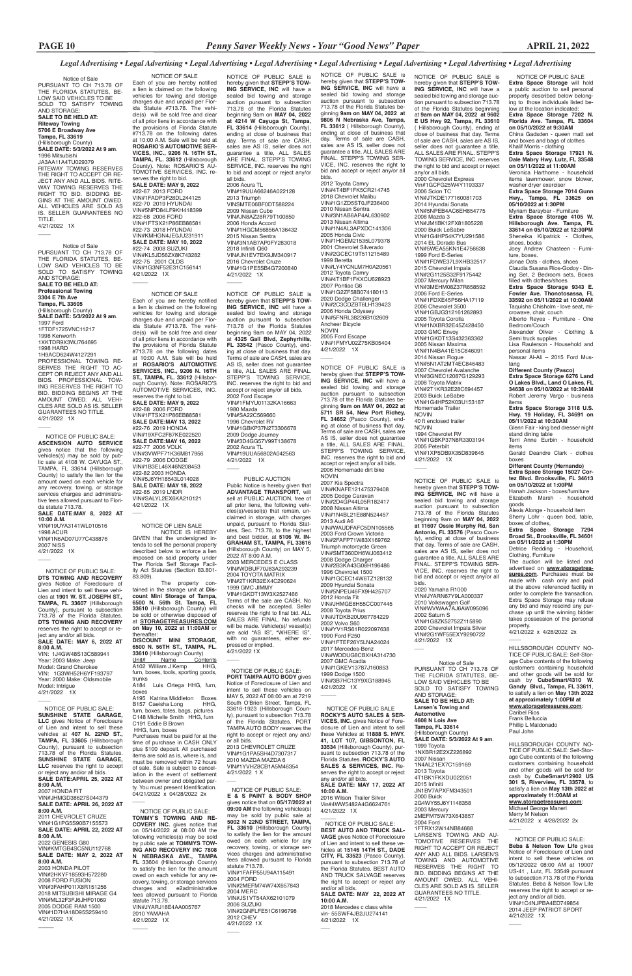NOTICE OF PUBLIC SALE: **E & S PAINT & BODY SHOP** gives notice that on **05/17/2022 at 09:00 AM** the following vehicles(s) may be sold by public sale at **5002 N 22ND STREET, TAMPA, FL 33610** (Hillsborough County) to satisfy the lien for the amount owed on each vehicle for any recovery, towing, or storage services charges and administrative fees allowed pursuant to Florida statute 713.78. VIN#1FAFP55U94A115491 2004 FORD VIN#2MEFM74W74X657843 2004 MERC VIN#JS1VT54AX62101079 2006 SUZUKI VIN#2GNFLFE51C6196798 2012 CHEV 4/21/2022 1X  $\overline{\phantom{a}}$ 

### *Legal Advertising • Legal Advertising • Legal Advertising • Legal Advertising • Legal Advertising • Legal Advertising • Legal Advertising • Legal Advertising*

 NOTICE OF PUBLIC SALE **Extra Space Storage** will hold a public auction to sell personal property described below belonging to those individuals listed below at the location indicated: **Extra Space Storage 7202 N. Florida Ave. Tampa, FL 33604 on 05/10/2022 at 9:30AM** China Gadsden - queen matt set and boxes and bags of clothes Khalif Morris - clothing **Extra Space Storage 17921 N. Dale Mabry Hwy. Lutz, FL 33548 on 05/11/2022 at 11:00AM** Veronica Harthorne - household items lawnmower, snow blower, washer dryer exerciser **Extra Space Storage 7014 Gunn Hwy., Tampa, FL 33625 on 05/10/2022 at 1:30PM** Myriam Baraybar - Furniture **Extra Space Storage 4105 W. Hillsborough Ave. Tampa, FL 33614 on 05/10/2022 at 12:30PM** Sheneika Kilpatrick - Clothes, shoes, books Joey Andrew Chasteen - Furniture, boxes. Jonae Oats - clothes, shoes Claudia Susana Rios-Godoy - Dining Set, 2 Bedroom sets, Boxes filled with clothes/shoes **Extra Space Storage 9343 E. Fowler Ave. Thonotosassa, FL 33592 on 05/11/2022 at 10:00AM** Taquisha Chisholm - love seat, microwave, chair, couch Alberto Reyes - Furniture - One Bedroom/Couch Alexander Oliver - Clothing & Semi truck supplies Lisa Raulerson - Household and personal items Nassar Al-Ali – 2015 Ford Mustang **Different County (Pasco) Extra Space Storage 6276 Land O Lakes Blvd., Land O Lakes, FL 34638 on 05/10/2022 at 10:30AM** Robert Jeremy Vargo - business items **Extra Space Storage 3118 U.S. Hwy. 19 Holiday, FL 34691 on 05/11/2022 at 10:30AM**  Glenn Fair - king bed dresser night stand dining table Terri Anne Eurbin - household items Gerald Deandre Clark - clothes boxes **Different County (Hernando) Extra Space Storage 15027 Cortez Blvd. Brooksville, FL 34613 on 05/10/2022 at 1:00PM** Hanah Jackson - boxes/furniture Elizabeth Marsh - household goods Alexis Alonge - household item Sherry Lohr - queen bed, table, boxes of clothes, **Extra Space Storage 7294 Broad St., Brooksville, FL 34601** 

NOTICE OF PUBLIC SALE is hereby given that **STEPP'S TOW-ING SERVICE, INC** will have a sealed bid towing and storage auction pursuant to subsection 713.78 of the Florida Statutes beginning at **9am on MAY 04, 2022 at 9602 E US Hwy 92, Tampa, FL 33610**  ( Hillsborough County), ending at close of business that day. Terms of sale are CASH, sales are AS IS, seller does not guarantee a title, ALL SALES ARE FINAL. STEPP'S TOWING SERVICE, INC. reserves the right to bid and accept or reject any/or all bids. 2000 Chevrolet Express Vin#1GCFG25W4Y1193337 2006 Scion TC VIN#JTKDE177160081703 2014 Hyundai Sonata VIN#5NPEB4AC6EH854775 2008 Mazda 3 VIN#JM1BK12FX81805228 2000 Buick LeSabre VIN#1G4HP54K7YU291586 2014 EL Dorado Bus VIN#5WEA55KN1E4756638 1999 Ford E-Series VIN#1FDWE37L9XHB32517 2015 Chevrolet Impala VIN#2G1125S32F9175442 2007 Mercury Milan VIN#3MEHM08Z37R658592 2006 Ford E-Series VIN#1FDXE45P56HA17119 2006 Chevrolet 3500 VIN#1GBJG312161262893 2005 Toyota Corolla VIN#1NXBR32E45Z428450 2003 GMC Envoy VIN#1GKDT13S432363362 2005 Nissan Maxima VIN#1N4BA41E15C846091 2014 Nissan Rogue VIN#5N1AT2MT4EC846483 2007 Chevrolet Avalanche VIN#3GNEC12087G129293 2008 Toyota Matrix VIN#2T1KR32E28C694457 2003 Buick LeSabre VIN#1G4HP52K03U153187 Homemade Trailer NOVIN 40 ft enclosed trailer NOVIN 1994 Chevrolet RV VIN#1GBKP37N8R3303194 2005 Peterbilt VIN#1XP5DB9X35D839645 4/21/2022 1X  $\overline{\phantom{a}}$ 

> **on 05/11/2022 at 1:30PM** Detrice Redding - Household, Clothing, Furniture

> The auction will be listed and advertised on **www.storagetreasures.com**. Purchases must be made with cash only and paid at the above referenced facility in order to complete the transaction. Extra Space Storage may refuse any bid and may rescind any purchase up until the winning bidder takes possession of the personal property.

4/21/2022 x 4/28/2022 2x

 $\overline{\phantom{a}}$ 

HILLSBOROUGH COUNTY NO-TICE OF PUBLIC SALE: Self-Storage Cube contents of the following customers containing household and other goods will be sold for cash by **CubeSmart/4310 W. Gandy Blvd., Tampa, FL 33611**, to satisfy a lien on **May 13th 2022 at approximately 1:00PM at www.storagetreasures.com**: Caribel Rios

Frank Belluccia Phillip L Maldonado Paul John

HILLSBOROUGH COUNTY NO-TICE OF PUBLIC SALE: Self-Storage Cube contents of the following customers containing household and other goods will be sold for cash by **CubeSmart/12902 US 301 S, Riverview, FL 33578**, to satisfy a lien on **May 13th 2022 at approximately 11:00AM at www.storagetreasures.com**:

Michael George Maneri Merry M Nelson 4/21/2022 x 4/28/2022 2x

 NOTICE OF PUBLIC SALE: **Beba & Nelson Tow Life** gives Notice of Foreclosure of Lien and intent to sell these vehicles on 05/12/2022 08:00 AM at 19007 US-41 , Lutz, FL 33549 pursuant to subsection 713.78 of the Florida Statutes. Beba & Nelson Tow Life reserves the right to accept or reject any and/or all bids. VIN#1C4NJPBA4ED749854 2014 JEEP PATRIOT SPORT 4/21/2022 1X

 $\overline{\phantom{a}}$ 

 $\overline{\phantom{a}}$ 

VIN#19UUA66246A022128 2013 Triumph VINSMTE06BF0DT588224 2009 Nissan Cube VIN#JN8AZ28R79T100850 2006 Honda Accord VIN#1HGCM56856A136432 2015 Nissan Sentra VIN#3N1AB7AP0FY283018 2018 Infiniti Q60 VIN#JN1EV7EK9JM340917 2016 Chevrolet Cruze VIN#1G1PE5SB4G7200840 4/21/2022 1X  $\overline{\phantom{a}}$ 

 PUBLIC AUCTION Public Notice is hereby given that **ADVANTAGE TRANSPORT**, will sell at PUBLIC AUCTION, free of all prior liens, the following vehicles(s)/vessel(s) that remain, unclaimed in storage, with charges unpaid, pursuant to Florida Statutes, Sec. 713.78, to the highest and best bidder, at **5106 W. IN-GRAHAM ST., TAMPA, FL 33616**  (Hillsborough County) on MAY 5, 2022 AT 8:00 A.M. 2003 MERCEDES E CLASS VIN#WDBUF70J83A293239 2004 TOYOTA MATRIX VIN#2T1KR32EX4C290624 1999 GMC JIMMY VIN#1GKDT13W3X2527466 Terms of the sale are CASH. No checks will be accepted. Seller reserves the right to final bid. ALL SALES ARE FINAL. No refunds will be made. Vehicle(s)/ vessel(s) are sold "AS IS", "WHERE IS", with no guarantees, either expressed or implied. 4/21/2022 1X  $\overline{\phantom{a}}$ 

NOTICE OF PUBLIC SALE is hereby given that **STEPP'S TOW-ING SERVICE, INC** will have a sealed bid towing and storage auction pursuant to subsection 713.78 of the Florida Statutes be-ginning **9am on MAY 04, 2022 at 9806 N Nebraska Ave, Tampa, FL 33612** ( Hillsborough County), ending at close of business that day. Terms of sale are CASH, sales are AS IS, seller does not guarantee a title, ALL SALES ARE FINAL. STEPP'S TOWING SER-VICE, INC. reserves the right to bid and accept or reject any/or all bids.

4/21/2022 1X  $\overline{\phantom{a}}$ 

2012 Toyota Camry VIN#4T4BF1FK5CR214745 2018 Chevrolet Malibu VIN#1G1ZD5ST0JF236400 2010 Nissan Sentra VIN#3N1AB6AP4AL630902 2013 Nissan Altima VIN#1N4AL3APXDC141306 2005 Honda Civic VIN#1HGEM21535L079378 2001 Chevrolet Silverado VIN#2GCEC19T511215489 1999 Beretta VIN#LY4YCNLM7H0A20561 2012 Toyota Camry VIN#4T1BF1FKXCU628923 2007 Pontiac G6 VIN#1G2ZF58B074180113 2020 Dodge Challenger VIN#2C3CDZBT6LH139423 2006 Honda Odyssey VIN#5FNRL38226B102609 Ancheer Bicycle NOVIN 2005 Ford Escape VIN#1FMYU02Z75KB05404 4/21/2022 1X

 $\overline{\phantom{a}}$ NOTICE OF LIEN SALE NOTICE OF PUBLIC SALE is hereby given that **STEPP'S TOW-ING SERVICE, INC** will have a sealed bid towing and storage auction pursuant to subsection 713.78 of the Florida Statutes beginning **9am on MAY 04, 2022 at 5711 SR 54, New Port Richey, FL 34652** (Pasco County), ending at close of business that day. Terms of sale are CASH, sales are AS IS, seller does not guarantee a title, ALL SALES ARE FINAL. STEPP'S TOWING SERVICE, INC. reserves the right to bid and accept or reject any/or all bids. 2006 Homemade dirt bike

 $\overline{\phantom{a}}$ 

NOVIN 2007 Kia Spectra VIN#KNAFE121475379408 2005 Dodge Caravan VIN#2D4GP44L05R182417 2008 Nissan Altima VIN#1N4BL21E88N524457 2013 Audi A6 VIN#WAUDFAFC5DN105565 2003 Ford Crown Victoria VIN#2FAFP71W83X169762 Triumph motorcycle Green VIN#SMT360DH6WJ063412 2008 Dodge Charger VIN#2B3KA43G08H196486 1996 Chevrolet 1500 VIN#1GCEC14W6TZ128132 2009 Hyundai Sonata VIN#5NPEU46FX9H425707 2012 Honda Fit VIN#JHMGE8H55CC007445 2008 Toyota Prius VIN#JTDKB20U987784229 2002 Volvo S60 VIN#YV1RS61R022097638 1990 Ford F250 VIN#1FTEF26Y5LNA24024 2017 Mercedes-Benz VIN#WDDUG8CBXHA314730 2007 GMC Acadia VIN#1GKEV13787J160853 1999 Dodge 1500 VIN#3B7HC13Y9XG188945 4/21/2022 1X

 $\overline{\phantom{a}}$ 

NOTICE OF PUBLIC SALE is hereby given that **STEPP'S TOW-ING SERVICE, INC** will have a sealed bid towing and storage auction pursuant to subsection 713.78 of the Florida Statutes beginning 9am on **MAY 04, 2022 at 11607 Ossie Murphy Rd, San Antonio, FL 33576** (Pasco County), ending at close of business that day. Terms of sale are CASH, sales are AS IS, seller does not guarantee a title, ALL SALES ARE FINAL. STEPP'S TOWING SER-VICE, INC. reserves the right to bid and accept or reject any/or all bids.

2020 Yamaha R1000 VIN#JYARN67Y9LA000337 2010 Volkswagen Golf VIN#WVWAA7AJ6AW095096 2002 Saturn S VIN#1G8ZK52752Z115890 2000 Chevrolet Impala Silver VIN#2G1WF55EXY9290722 4/21/2022 1X

 $\overline{\phantom{a}}$ 

NOTICE OF PUBLIC SALE is hereby given that **STEPP'S TOW-ING SERVICE, INC** will have a sealed bid towing and storage auction pursuant to subsection 713.78 of the Florida Statutes beginning 9am on **MAY 04, 2022 at 4214 W Cayuga St, Tampa, FL 33614** (Hillsborough County), ending at close of business that<br>day. Terms of sale are CASH, Terms of sale are CASH, sales are AS IS, seller does not guarantee a title, ALL SALES ARE FINAL. STEPP'S TOWING SERVICE, INC. reserves the right to bid and accept or reject any/or all bids. 2006 Acura TL

 NOTICE OF PUBLIC SALE: SUNSHINE STATE GARAGE

4/21/2022 1X  $\overline{\phantom{a}}$ 

 $\overline{\phantom{a}}$ 

NOTICE OF PUBLIC SALE is hereby given that **STEPP'S TOW-ING SERVICE, INC** will have a sealed bid towing and storage auction pursuant to subsection 713.78 of the Florida Statutes beginning 9am on MAY 04, 2022 at **4325 Gall Blvd, Zephyrhills, FL 33542** (Pasco County), ending at close of business that day. Terms of sale are CASH, sales are AS IS, seller does not guarantee a title, ALL SALES ARE FINAL. STEPP'S TOWING SERVICE, INC. reserves the right to bid and accept or reject any/or all bids. 2002 Ford Escape VIN#1FMYU01132KA16663 1980 Mazda VIN#SA22C569660 1996 Chevrolet RV VIN#1GBKP37N2T3306678 2009 Dodge Journey VIN#3D4GG57V99T138678 2002 Acura TL VIN#19UUA56802A042563 4/21/2022 1X

 $\overline{\phantom{a}}$ 

 NOTICE OF PUBLIC SALE: **PORT TAMPA AUTO BODY** gives Notice of Foreclosure of Lien and intent to sell these vehicles on MAY 5, 2022 AT 08:00 am at 7219 South O'Brien Street, Tampa, FL 33616-1923 (Hillsborough County), pursuant to subsection 713.78

of the Florida Statutes. PORT TAMPA AUTO BODY reserves the right to accept or reject any and/ or all bids. 2013 CHEVROLET CRUZE

VIN#1G1PA5SH4D7307317 2010 MAZDA MAZDA 6 VIN#1YVHZ8CB1A5M46354 4/21/2022 1 X

 $\overline{\phantom{a}}$ 

NOTICE OF SALE Each of you are hereby notified a lien is claimed on the following vehicles for towing and storage charges due and unpaid per Florida Statute #713.78. The vehicle(s) will be sold free and clear of all prior liens in accordance with the provisions of Florida Statute #713.78 on the following dates at 10:00 A.M. Sale will be held at **ROSARIO'S AUTOMOTIVE SER-VICES, INC., 9206 N. 16TH ST., TAMPA, FL. 33612** (Hillsborough County). Note: ROSARIO'S AU-TOMOTIVE SERVICES, INC. reserves the right to bid. **SALE DATE: MAY 9, 2022** #22-67 2013 FORD VIN#1FADP3F28DL244125 #22-70 2019 HYUNDAI VIN#5NPD84LF9KH418399 #22-68 2006 FORD VIN#1FTSX21P86EB88581 #22-73 2018 HYUNDAI VIN#KMHGN4JE0JU231911 **SALE DATE: MAY 10, 2022** #22-74 2008 SUZUKI VIN#KL5JD56ZX8K743282 #22-75 2001 OLDS VIN#1G3NF52E31C156141

NOTICE OF SALE Each of you are hereby notified a lien is claimed on the following vehicles for towing and storage charges due and unpaid per Florida Statute #713.78. The vehicle(s) will be sold free and clear of all prior liens in accordance with the provisions of Florida Statute #713.78 on the following dates at 10:00 A.M. Sale will be held at **ROSARIO'S AUTOMOTIVE SERVICES, INC., 9206 N. 16TH ST., TAMPA, FL. 33612** (Hillsborough County). Note: ROSARIO'S AUTOMOTIVE SERVICES, INC. reserves the right to bid. **SALE DATE: MAY 9, 2022** #22-68 2006 FORD VIN#1FTSX21P86EB88581 **SALE DATE:MAY 13, 2022** #22-76 2019 HONDA VIN#1QYEC2F87KE022520 **SALE DATE:MAY 16, 2022** #22-77 2006 VOLK VIN#3VWPF71K36M817956 #22-79 2006 DODGE VIN#1B3EL46X46N208453 #22-82 2003 HONDA VIN#5J6YH18543L014028 **SALE DATE: MAY 18, 2022** #22-85 2019 LNDR VIN#SALYL2EX6KA210121 4/21/2022 1X

NOTICE IS HEREBY GIVEN that the undersigned intends to sell the personal property described below to enforce a lien imposed on said property under The Florida Self Storage Facility Act Statutes (Section 83.801- 83.809).

The property con-tained in the storage unit at **Discount Mini Storage of Tampa, 6500 N. 56th St. Tampa, FL 33610** (Hillsborough County) will be sold or otherwise disposed of at **STORAGETREASURES.COM on May 10, 2022 at 11:00AM** or thereafter: **DISCOUNT MINI STORAGE, 6500 N. 56TH ST., TAMPA, FL. 33610** (Hillsborough County)<br>Unit# Name Contents Unit# Name Contents A102 William J Kemp HHG, furn, boxes, tools, sporting goods,

trunks A184 Luis Ortega HHG, furn, boxes A195 Katrina Middleton Boxes<br>B157 Caeisha Long HHG. B157 Caeisha Long furn, boxes, totes, bags, pictures HHG, furn C191 Eddie B Brown HHG, furn, boxes Purchases must be paid for at the time of purchase in CASH ONLY plus \$100 deposit. All purchased items are sold as is, where is, and must be removed within 72 hours of sale. Sale is subject to cancellation in the event of settlement between owner and obligated party. You must present Identification. 04/21/2022 x 04/28/2022 2x

Notice of Sale PURSUANT TO CH 713.78 OF THE FLORIDA STATUTES, BE-LOW SAID VEHICLES TO BE SOLD TO SATISFY TOWING AND STORAGE: **SALE TO BE HELD AT: Larsen's Towing and Automotive**

**4608 N Lois Ave Tampa, FL 33614** (Hillsborough County) **SALE DATE: 5/3/2022 At 9 am**. 1999 Toyota 1NXBR12E2XZ226892 2007 Nissan 1N4AL21EX7C159169 2013 Toyota 4T1BK1FKXDU022051 2015 Infiniti JN1BV7APXFM343501 2000 Buick 2G4WY55J6Y1148358 2003 Mercury 2MEFM75W73X643857 2004 Ford 1FTRX12W14NB84688 LARSEN'S TOWING AND AU-TOMOTIVE RESERVES THE RIGHT TO ACCEPT OR REJECT ANY AND ALL BIDS. LARSEN'S TOWING AND AUTOMOTIVE RESERVES THE RIGHT TO BID. BIDDING BEGINS AT THE AMOUNT OWED. ALL VEHI-CLES ARE SOLD AS IS. SELLER GUARANTEES NO TITLE.

4/21/2022 1X

 $\overline{\phantom{a}}$ 

### Notice of Sale PURSUANT TO CH 713.78 OF THE FLORIDA STATUTES, BE-LOW SAID VEHICLES TO BE SOLD TO SATISFY TOWING AND STORAGE: **SALE TO BE HELD AT: Riteway Towing 5706 E Broadway Ave Tampa, FL 33619** (Hillsborough County) **SALE DATE: 5/3/2022 At 9 am**. 1996 Mitsubishi JA3AA11A4TU029379 RITEWAY TOWING RESERVES THE RIGHT TO ACCEPT OR RE-JECT ANY AND ALL BIDS. RITE-WAY TOWING RESERVES THE RIGHT TO BID. BIDDING BE-GINS AT THE AMOUNT OWED. ALL VEHICLES ARE SOLD AS IS. SELLER GUARANTEES NO TITLE. 4/21/2022 1X

 $\overline{\phantom{a}}$ 

Notice of Sale PURSUANT TO CH 713.78 OF THE FLORIDA STATUTES, BE-LOW SAID VEHICLES TO BE SOLD TO SATISFY TOWING AND STORAGE: **SALE TO BE HELD AT: Professional Towing 3304 E 7th Ave Tampa, FL 33605** (Hillsborough County) **SALE DATE: 5/3/2022 At 9 am**. 1997 Ford 1FTDF1725VNC11217 1998 Kenworth 1XKTDR9X3WJ764695 1998 HARD 1H9ACD624W4127291 PROFESSIONAL TOWING RE-SERVES THE RIGHT TO AC-CEPT OR REJECT ANY AND ALL BIDS. PROFESSIONAL TOW-ING RESERVES THE RIGHT TO BID. BIDDING BEGINS AT THE AMOUNT OWED. ALL VEHI-CLES ARE SOLD AS IS. SELLER GUARANTEES NO TITLE. 4/21/2022 1X

> NOTICE OF PUBLIC SALE: **TOMMY'S TOWING AND RE-COVERY INC.** gives notice that on 05/14/2022 at 08:00 AM the following vehicles(s) may be sold by public sale at **TOMMYS TOW-**

 NOTICE OF PUBLIC SALE: **ASCENSION AUTO SERVICE**  gives notice that the following vehicles(s) may be sold by public sale at 4108 W. CAYUGA ST., TAMPA, FL 33614 (Hillsborough County) to satisfy the lien for the amount owed on each vehicle for any recovery, towing, or storage services charges and administrative fees allowed pursuant to Florida statute 713.78. **SALE DATE:MAY 8, 2022 AT** 

**10:00 A.M.** VIN#19UYA3141WL010516 1998 ACUR VIN#1N6AD07U77C438876 2007 NISS

4/21/2022 1X

 $\overline{\phantom{a}}$ 

 $\overline{\phantom{a}}$ 

**ING AND RECOVERY INC 7808 N NEBRASKA AVE., TAMPA FL** 33604 (Hillsborough County) to satisfy the lien for the amount owed on each vehicle for any recovery, towing, or storage services charges and e2administrative fees allowed pursuant to Florida statute 713.78. VIN#JYARJ18E4AA005767 2010 YAMAHA 4/21/2022 1X 2008 FORD FUSION VIN#3FAHP011X8R151256 2018 MITSUBISHI MIRAGE G4 VIN#ML32F3FJ6JHF01069 2005 DODGE RAM 1500 VIN#1D7HA18D95S259410

 $\overline{\phantom{a}}$ 

 $\overline{\phantom{a}}$ 

 NOTICE OF PUBLIC SALE: **DTS TOWING AND RECOVERY**  gives Notice of Foreclosure of gives the intent to sell these vehicles at **1901 W. ST. JOSEPH ST., TAMPA, FL 33607** (Hillsborough County), pursuant to subsection 713.78 of the Florida Statutes. **DTS TOWING AND RECOVERY** reserves the right to accept or reject any and/or all bids. **SALE DATE: MAY 6, 2022 AT 8:00 A.M.**

VIN: 1J4GW48S13C589941 Year: 2003 Make: Jeep Model: Grand Cherokee VIN: 1G3WH52H6YF193797 Year: 2000 Make: Oldsmobile Model: Intrigue 4/21/2022 1X

> NOTICE OF PUBLIC SALE **ROCKY'S AUTO SALES & SER-VICES, INC.** gives Notice of Foreclosure of Lien and intent to sell these Vehicles at **11888 S. HWY. 41, LOT 107, GIBSONTON, FL 33534** (Hillsborough County), pursuant to subsection 713.78 of the Florida Statutes. **ROCKY'S AUTO SALES & SERVICES, INC.** Reserves the right to accept or reject any and/or all bids. **SALE DATE: MAY 17, 2022 AT 10:00 A.M.** 2016 Wilson Trailer Silver Vin#4WW5482A4G6624761 4/21/2022 1X  $\overline{\phantom{a}}$  NOTICE OF PUBLIC SALE: **BEST AUTO AND TRUCK SAL-VAGE** gives Notice of Foreclosure of Lien and intent to sell these ve-hicles at **15146 14TH ST., DADE CITY, FL 33523** (Pasco County), pursuant to subsection 713.78 of the Florida Statutes. BEST AUTO AND TRUCK SALVAGE reserves the right to accept or reject any and/or all bids.

**LLC** gives Notice of Foreclosure of Lien and intent to sell these vehicles at **407 N. 22ND ST., TAMPA, FL 33605** (Hillsborough County), pursuant to subsection 713.78 of the Florida Statutes. **SUNSHINE STATE GARAGE, LLC** reserves the right to accept or reject any and/or all bids. **SALE DATE:APRIL 25, 2022 AT** 

### **8:00 A.M.**

2007 HONDA FIT VIN#JHMGD38627S044379 **SALE DATE: APRIL 26, 2022 AT 8:00 A.M.**

### 2011 CHEVROLET CRUZE VIN#1G1PG5S90B7155573 **SALE DATE: APRIL 22, 2022 AT 8:00 A.M.** 2022 GENESIS G80 VIN#KMTGB4SC5NU112768 **SALE DATE: MAY 2, 2022 AT 8:00 A.M.** 2003 HONDA PILOT VIN#2HKYF18593H572280

**SALE DATE: MAY 22, 2022 AT 10:00 A.M.** 2018 Mercedes c class white vin- 55SWF4JB2JU274141

4/21/2022 1X

 $\overline{\phantom{a}}$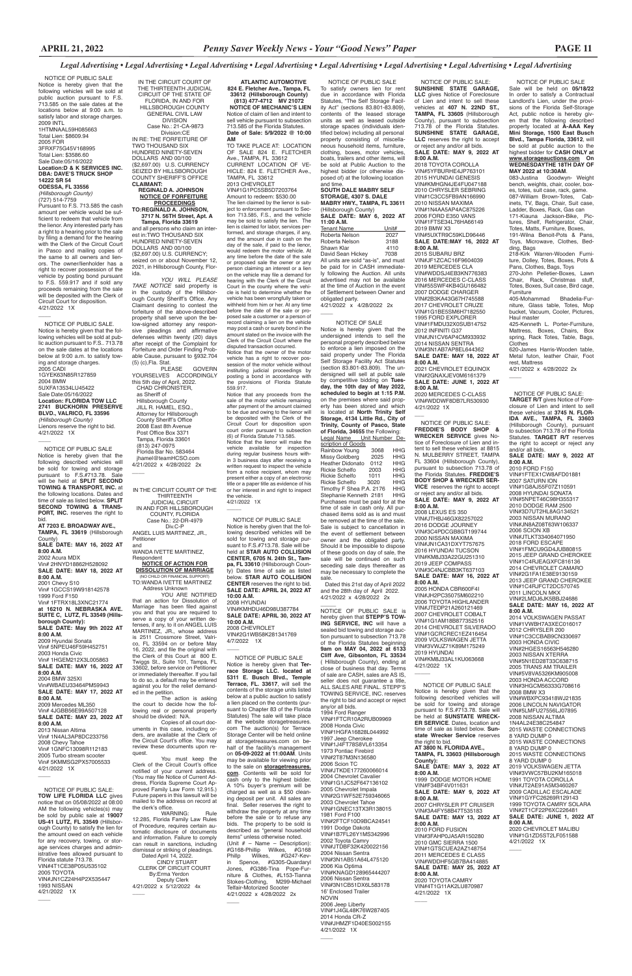### *Legal Advertising • Legal Advertising • Legal Advertising • Legal Advertising • Legal Advertising • Legal Advertising • Legal Advertising • Legal Advertising*

 NOTICE OF PUBLIC SALE Sale will be held on **05/18/22** In order to satisfy a Contractual Landlord's Lien, under the provisions of the Florida Self-Storage Act, public notice is hereby given that the following described property located at **A-AAA Key Mini Storage, 1500 East Busch Blvd., Tampa Florida, 33612**, will be sold at public auction to the highest bidder for **CASH ONLY at www.storageauctions.com On WEDNESDAYTHE 18TH DAY OF MAY 2022 at 10:30AM**.

270-John Pelletier-Boxes, Lawn<br>Chair, Rack, Christmas stuff, Chair, Rack, Christmas Totes, Boxes, Suit case, Bird cage, Furniture

083-Justina Goodwyn- Weight bench, weights, chair, cooler, boxes, totes, suit case, rack, game. 087-William Brown-Totes, Cabinets, TV, Bags, Chair, Suit case, Ladder, Boxes, Rack, Gas can 171-Kiauna Jackson-Bike, Pictures, Shelf, Refrigerator, Chair, Totes, Matts, Furniture, Boxes,

191-Wilna Benoit-Pots & Pans, Toys, Microwave, Clothes, Bedding, Bags

218-Kirk Warren-Wooden Furniture, Dolley, Totes, Boxes, Pots & Pans, Clothes, Bags, Toys

405-Mohammad Bhadelia-Furniture, Glass table, Totes, Mop bucket, Vacuum, Cooler, Pictures, Haul master

425-Kenneth L. Porter-Furniture, Mattress, Boxes, Chairs, Box spring, Rack Totes, Table, Bags, Clothes

620-James Harris-Wooden table, Metal futon, leather Chair, Foot rest, Mattress 4/21/2022 x 4/28/2022 2x

08 NISSAN ALTIM 1N4AL24E38C254847 2015 WASTE CONNECTIONS 8 YARD DUMP 0 2015 WASTE CONNECTIONS 8 YARD DUMP 0 2015 WASTE CONNECTIONS 8 YARD DUMP 0 2019 VOLKSWAGEN JETTA VIN#3VWC57BU2KM165018 1991 TOYOTA COROLLA VIN#JT2AE91A5M3460267 2009 CADILLAC ESCALADE VIN#1GYFC26269R129143 1999 TOYOTA CAMRY SOLARA VIN#2T1CF22P6XC226481 **SALE DATE: JUNE 1, 2022 AT 8:00 A.M.** 2020 CHEVROLET MALIBU VIN#1G1ZD5ST2LF051588 4/21/2022 1X

 $\overline{\phantom{a}}$ 

 NOTICE OF PUBLIC SALE: **TARGET R/T** gives Notice of Fore-

 $\overline{\phantom{a}}$ 

closure of Lien and intent to sell these vehicles at **3745 N. FLOR-IDA AVE., TAMPA, FL 33603**  (Hillsborough County), pursuant to subsection 713.78 of the Florida Statutes. **TARGET R/T** reserves the right to accept or reject any and/or all bids. **SALE DATE: MAY 9, 2022 AT 8:00 A.M.** 2010 FORD F150 VIN#1FTEX1CW8AFD01881 2007 SATURN ION VIN#1G8AJ55F07Z110591 2008 HYUNDAI SONATA VIN#5NPET46C98H355317 2010 DODGE RAM 2500 VIN#3D7UT2HL8AG134521 2003 NISSAN MURANO VIN#JN8AZ08T63W106337 2006 SCION XB VIN#JTLKT334064071950 2018 FORD ESCAPE VIN#1FMCU9GD4JUB80815 2015 JEEP GRAND CHEROKEE VIN#1C4RJEAGXFC816136 2014 CHEVROLET CAMARO VIN#2G1FA1E38E9130159 2013 JEEP GRAND CHEROKEE VIN#1C4RJFCT2DC570745 2011 LINCOLN MKX VIN#2LMDJ6JK5BBJ24686 **SALE DATE: MAY 16, 2022 AT 8:00 A.M.** 2014 VOLKSWAGEN PASSAT VIN#1VWBH7A3XEC016017 2012 CHRYSLER 200 VIN#1C3CCBAB9CN330697 2003 HONDA CIVIC VIN#2HGES16563H546280 2003 NISSAN XTERRA VIN#5N1ED28T33C638715 2005 TRANS AM TRAILER VIN#5V8VA5326KM905008 2003 HONDA ACCORD VIN#3HGCM56333G708616 2008 BMW X3 VIN#WBXPC93418WJ21835 2006 LINCOLN NAVIGATOR VIN#5LMFU27556LJ07895

NOTICE OF PUBLIC SALE Notice is hereby given that the following described vehicles will be sold for towing and storage pursuant to F.S.#713.78. Sale will be held at **SUNSTATE WRECK-ER SERVICE**. Dates, location and time of sale as listed below. **Sunstate Wrecker Service** reserves the right to bid. **AT 3800 N. FLORIDA AVE., TAMPA, FL 33603 (Hillsborough County): SALE DATE: MAY 3, 2022 AT 8:00 A.M.** 1999 DODGE MOTOR HOME VIN#F34BF4V011631 **SALE DATE: MAY 9, 2022 AT 8:00 A.M.** 2007 CHRYSLER PT CRUISER VIN#3A4FY58B47T535183 **SALE DATE: MAY 13, 2022 AT 8:00 A.M.** 2010 FORD FUSION VIN#3FAHP0JA5AR150280 2010 GMC SIERRA 1500 VIN#1GTSCUEA2AZ148754 2011 MERCEDES E CLASS VIN#WDDHF5GB7BA414885 **SALE DATE: MAY 25, 2022 AT 8:00 A.M.** 2020 TOYOTA CAMRY VIN#4T1G11AK2LU870987 4/21/2022 1X  $\overline{\phantom{a}}$ 

 NOTICE OF PUBLIC SALE: **SUNSHINE STATE GARAGE, LLC** gives Notice of Foreclosure of Lien and intent to sell these vehicles at **407 N. 22ND ST., TAMPA, FL 33605** (Hillsborough County), pursuant to subsection 713.78 of the Florida Statutes. **SUNSHINE STATE GARAGE, LLC** reserves the right to accept or reject any and/or all bids. **SALE DATE: MAY 9, 2022 AT 8:00 A.M.** 2018 TOYOTA COROLLA

Notice is hereby given that the undersigned intends to sell the personal property described below to enforce a lien imposed on the said property under The Florida Self Storage Facility Act Statutes (section 83.801-83.809). The undersigned will sell at public sale by competitive bidding on **Tuesday, the 10th day of May 2022, scheduled to begin at 1:15 P.M.** on the premises where said property has been stored and which is located at **North Trinity Self Storage, 4134 Little Rd., City of Trinity, County of Pasco, State of Florida, 34655** the Following: Legal Name Unit Number De-

VIN#5YFBURHE4JP763101 2015 HYUNDAI GENESIS VIN#KMHGN4JE4FU047188 2010 CHRYSLER SEBRING VIN#1C3CC5FB9AN166990 2010 NISSAN MAXIMA VIN#1N4AA5AP4AC875226 2006 FORD E350 VANS VIN#1FTSE34L76HA66149 2019 BMW X3 VIN#5UXTR9C59KLD96446 **SALE DATE:MAY 16, 2022 AT 8:00 A.M.** 2015 SUBARU BRZ VIN#JF1ZCAC16F9604039 2019 MERCEDES CLA VIN#WDDSJ4EB3KN776383 2016 MERCEDES C-CLASS VIN#55SWF4KB4GU166482 2007 DODGE CHARGER VIN#2B3KA43G67H745588 2017 CHEVROLET CRUZE VIN#1G1BE5SM6H7182550 1995 FORD EXPLORER VIN#1FMDU32X0SUB14752 2012 INFINITI G37 VIN#JN1CV6AP4CM933932 2014 NISSAN SENTRA VIN#3N1AB7AP8EL644362 **SALE DATE: MAY 18, 2022 AT 8:00 A.M.** 2021 CHEVROLET EQUINOX VIN#2GNAXJEV0M6161379 **SALE DATE: JUNE 1, 2022 AT** 

scription of Goods Rainbow Young 3068 HHG<br>Missy Goldberg 2025 HHG Missy Goldberg 2025 HHG<br>Heather Didonato 0112 HHG Heather Didonato 0112 HHG<br>Rickie Schelfo 2003 HHG Rickie Schelfo 2003 HHG<br>Rickie Schelfo 1011 HHG Rickie Schelfo 1011 HHG<br>Rickie Schelfo 3020 HHG Rickie Schelfo 3020 HHG<br>Timothy F Shea P.A. 2176 HHG Timothy F Shea P.A. 2176 HHG<br>Stephanie Kenneth 2181 HHG Stephanie Kenneth 2181 Purchases must be paid for at the time of sale in cash only. All purchased items sold as is and must be removed at the time of the sale. Sale is subject to cancellation in the event of settlement between owner and the obligated party. Should it be impossible to dispose of these goods on day of sale, the sale will be continued on such seceding sale days thereafter as may be necessary to complete the sale.

**8:00 A.M.** 2020 MERCEDES C-CLASS VIN#WDDWF8DB7LR530930 4/21/2022 1X

 $\overline{\phantom{a}}$ 

 NOTICE OF PUBLIC SALE: **FREDDIE'S BODY SHOP & WRECKER SERVICE** gives Notice of Foreclosure of Lien and intent to sell these vehicles at 8815 N. MULBERRY STREET, TAMPA FL 33604 (Hillsborough County), pursuant to subsection 713.78 of the Florida Statutes. **FREDDIE'S BODY SHOP & WRECKER SER-VICE** reserves the right to accept or reject any and/or all bids. **SALE DATE: MAY 9, 2022 AT 8:00 A.M.** 2008 LEXUS ES 350 VIN#JTHBJ46GX82257022 2016 DODGE JOURNEY VIN#3C4PDCGB8GT199744

2000 NISSAN MAXIMA VIN#JN1CA31DXYT757675 2016 HYUNDAI TUCSON VIN#KM8J33A22GU251310 2019 JEEP COMPASS VIN#3C4NJCBB3KT637103 **SALE DATE: MAY 16, 2022 AT 8:00 A.M.**

2005 HONDA CBR600F4I VIN#JH2PC35075M602210 2006 TOYOTA HIGHLANDER VIN#JTEDP21A260121469 2007 CHEVROLET COBALT VIN#1G1AM18B877352516 2014 CHEVROLET SILVERADO VIN#1GCRCREC1EZ416454 2009 VOLKSWAGEN JETTA VIN#3VWJZ71K89M175249 2019 HYUNDAI VIN#KM8J33AL1KU063668 4/21/2022 1X

 $\overline{\phantom{a}}$ 

**10:00 A.M.** 2008 CHEVROLET VIN#2G1WB58K281341769 4/7/2022 1X  $\overline{\phantom{a}}$ 

NOTICE OF PUBLIC SALE

To satisfy owners lien for rent due in accordance with Florida Statutes, "The Self Storage Facility Act" (sections 83.801-83.809), contents of the leased storage units as well as leased outside storage spaces (individuals identified below) including all personal property consisting of miscellaneous household items, furniture, clothing, boxes, motor vehicles, boats, trailers and other items, will be sold at Public Auction to the highest bidder (or otherwise disposed of) at the following location and time.

**SOUTH DALE MABRY SELF STORAGE, 4307 S. DALE MABRY HWY., TAMPA, FL 33611** (Hillsborough County) **SALE DATE: MAY 6, 2022 AT** 

**11:00 A.M.** Tenant Name Unit# Roberta Nelson 2027 Roberta Nelson 3188<br>Shawn Klar 4110 Shawn Klar David Sean Hickey 7038 All units are sold "as-is", and must be paid for in CASH immediately following the Auction. All units advertised may not be available at the time of Auction in the event of Settlement between Owner and obligated party. 4/21/2022 x 4/28/2022 2x

NOTICE OF SALE

 $\overline{\phantom{a}}$ 

The action is asking the court to decide how the following real or personal property<br>should be divided: N/A he divide Copies of all court documents in this case, including or-ders, are available at the Clerk of the Circuit Court's office. You may review these documents upon request. You must keep the Clerk of the Circuit Court's office notified of your current address. (You may file Notice of Current Address, Florida Supreme Court Approved Family Law Form 12.915.) Future papers in this lawsuit will be mailed to the address on record at the clerk's office.<br>WARNING: WARNING: Rule 12.285, Florida Family Law Rules of Procedure, requires certain automatic disclosure of documents and information. Failure to comply can result in sanctions, including dismissal or striking of pleadings. Dated April 14, 2022. CINDY STUART CLERK OF CIRCUIT COURT<br>By:Erma Yerdon By:Erma Yerdon<br>Deputy Clerk<br>4/21/2022 x 5/12/2022 4x  $\overline{\phantom{a}}$ 

 Dated this 21st day of April 2022 and the 28th day of April 2022. 4/21/2022 x 4/28/2022 2x

 NOTICE OF PUBLIC SALE. Notice is hereby given that the following vehicles will be sold at public auction pursuant to F.S.. 713.78 on the sale dates at the locations below at 9:00 a.m. to satisfy towing and storage charges. 2005 CADI 1GYEK63N85R127859 2004 BMW 5UXFA13534LU45422 Sale Date:05/16/2022 **Location: FLORIDA TOW LLC 2741 BUCKHORN PRESERVE BLVD., VALRICO, FL 33596** *(Hillsborough County)* Lienors reserve the right to bid. 4/21/2022 1X  $\overline{\phantom{a}}$ 

 $\overline{\phantom{a}}$ 

 **ATLANTIC AUTOMOTIVE 824 E. Fletcher Ave., Tampa, FL 33612 (Hillsborough County) (813) 477-4712 MV 21072** 

 **NOTICE OF MECHANIC'S LIEN** Notice of claim of lien and intent to sell vehicle pursuant to subsection 713.585 of the Florida Statutes. **Date of Sale: 5/9/2022 @ 10:00 AM** 

### **DATE: MAY 8:00 A.M.**

TO TAKE PLACE AT: LOCATION OF SALE 824 E. FLETCHER Ave., TAMPA, FL 33612 CURRENT LOCATION OF VE-HICLE: 824 E. FLETCHER Ave., TAMPA, FL 33612 2013 CHEVROLET VIN#1G1PC5SB5D7203764 Amount to redeem: \$530.00 The lien claimed by the lienor is subject to enforcement pursuant to Sec-tion 713.585, F.S., and the vehicle may be sold to satisfy the lien. The lien is claimed for labor, services performed, and storage charges, if any, and the amount due in cash on the day of the sale, if paid to the lienor, would redeem the motor vehicle. At any time before the date of the sale or proposed sale the owner or any person claiming an interest or a lien on the vehicle may file a demand for hearing with the Clerk of the Circuit Court in the county where the vehicle is held to determine whether the vehicle has been wrongfully taken or withheld from him or her. At any time before the date of the sale or proposed sale a customer or a person of record claiming a lien on the vehicle may post a cash or surety bond in the amount stated on the invoice with the

> $\overline{\phantom{a}}$ NOTICE OF PUBLIC SALE is hereby given that **STEPP'S TOW-ING SERVICE, INC** will have a sealed bid towing and storage auction pursuant to subsection 713.78 of the Florida Statutes beginning **9am on MAY 04, 2022 at 6133 Cliff Ave, Gibsonton, FL 33534** ( Hillsborough County), ending at close of business that day. Terms of sale are CASH, sales are AS IS, seller does not guarantee a title, ALL SALES ARE FINAL. STEPP'S TOWING SERVICE, INC. reserves the right to bid and accept or reject any/or all bids.

Clerk of the Circuit Court where the disputed transaction occurred. Notice that the owner of the motor vehicle has a right to recover possession of the motor vehicle without instituting judicial proceedings by posting a bond in accordance with provisions of Florida Statute 559.917.

> 4/21/2022 1X  $\overline{\phantom{a}}$

Notice that any proceeds from the sale of the motor vehicle remaining after payment of the amount claimed to be due and owing to the lienor will be deposited with the Clerk of the Circuit Court for disposition upon court order pursuant to subsection (6) of Florida Statute 713.585.

Notice that the lienor will make the vehicle available for inspection during regular business hours within 3 business days after receiving a written request to inspect the vehicle from a notice recipient, whom may present either a copy of an electronic title or a paper title as evidence of his or her interest in and right to inspect the vehicle. 4/21/2022 1X

 $\overline{\phantom{a}}$ 

 NOTICE OF PUBLIC SALE Notice is hereby given that the following described vehicles will be sold for towing and storage pursuant to F.S.#713.78. Sale will be held at **STAR AUTO COLLISION CENTER, 6705 N. 24th St., Tampa, FL 33610** (Hillsborough County) Dates time of sale as listed below. **STAR AUTO COLLISION CENTER** reserves the right to bid. **SALE DATE: APRIL 24, 2022 AT 10:00 A.M.** 2008 HYUNDAI VIN#KMHDU46D98U387784 **SALE DATE: APRIL 30, 2022 AT** 

IN THE CIRCUIT COURT OF THE THIRTEENTH JUDICIAL CIRCUIT OF THE STATE OF FLORIDA, IN AND FOR HILLSBOROUGH COUNTY GENERAL CIVIL LAW DIVISION Case No.: 21-CA-9873 Division:CE IN RE: THE FORFEITURE OF TWO THOUSAND SIX HUNDRED NINETY-SEVEN DOLLARS AND 00/100 (\$2,697.00) U.S. CURRENCY SEIZED BY HILLSBOROUGH COUNTY SHERIFF'S OFFICE **CLAIMANT: REGINALD A. JOHNSON NOTICE OF FORFEITURE PROCEEDINGS TO:REGINALD A. JOHNSON, 3717 N. 56TH Street, Apt. A Tampa, Florida 33619** and all persons who claim an inter-

est in:TWO THOUSAND SIX HUNDRED NINETY-SEVEN DOLLARS AND 00/100 (\$2,697.00) U.S. CURRENCY; seized on or about November 12, 2021, in Hillsborough County, Florida.

*YOU WILL PLEASE TAKE NOTICE* said property is in the custody of the Hillsborough County Sheriff's Office. Any Claimant desiring to contest the forfeiture of the above-described property shall serve upon the below-signed attorney any responsive pleadings and affirmative defenses within twenty (20) days after receipt of the Complaint for Forfeiture and Order Finding Probable Cause, pursuant to §932.704 (5) (c),Fla. Stat.

**GOVERN** YOURSELVES ACCORDINGLY this 5th day of April, 2022. CHAD CHRONISTER, as Sheriff of Hillsborough County JILL R. HAMEL, ESQ., Attorney for Hillsborough County Sheriff's Office 2008 East 8th Avenue Post Office Box 3371 Tampa, Florida 33601 (813) 247-0975 Florida Bar No. 583464 jhamel@teamHCSO.com 4/21/2022 x 4/28/2022 2x  $\overline{\phantom{a}}$ 

> NOTICE OF PUBLIC SALE Notice is hereby given that **Terrace Storage LLC. located at 5311 E. Busch Blvd., Temple Terrace, FL. 33617**, will sell the contents of the storage units listed below at a public auction to satisfy a lien placed on the contents (pursuant to Chapter 83 of the Florida Statutes) The sale will take place at the website storagetreasures. com The auction(s) for Terrace Storage Center will be held online at storagetreasures.com on behalf of the facility's management on **05-09-2022 at 11:00AM**. Units may be available for viewing prior to the sale on **storagetreasures. com**. Contents will be sold for cash only to the highest bidder. A 10% buyer's premium will be charged as well as a \$50 cleaning deposit per unit. All sales are final. Seller reserves the right to withdraw the property at any time before the sale or to refuse any bids. The property to be sold is described as "general household items" unless otherwise noted. (Unit # – Name – Description): #G168-Phillip Wilkes, #G168 Phillp Wilkes, #G247-Kevin Spence, #G305-Quardaryl Jones, #G386-Tina Pope-Furniture & Clothes, #L153-Tianna Stokes-Clothing, M299-Michael Telfair-Motorized Scooter 4/21/2022 x 4/28/2022 2x

 $\overline{\phantom{a}}$ 

IN THE CIRCUIT COURT OF THE THIRTEENTH JUDICIAL CIRCUIT IN AND FOR HILLSBOROUGH COUNTY, FLORIDA Case No.: 22-DR-4979 Div.C-P

ANGEL LUIS MARTINEZ, JR., Petitioner and

WANDA IVETTE MARTINEZ, Respondent **NOTICE OF ACTION FOR**

**DISSOLUTION OF MARRIAGE** (NO CHILD OR FINANCIAL SUPPORT) TO:WANDA IVETTE MARTINEZ

 Address Unknown YOU ARE NOTIFIED that an action for Dissolution of Marriage has been filed against you and that you are required to serve a copy of your written defenses, if any, to it on ANGEL LUIS MARTINEZ, JR., whose address is 2511 Crossmore Street, Valrico, FL 33594 on or before May 16, 2022, and file the original with the Clerk of this Court at 800 E. Twiggs St., Suite 101, Tampa, FL 33602, before service on Petitioner or immediately thereafter. If you fail to do so, a default may be entered against you for the relief demanded in the petition.

 NOTICE OF PUBLIC SALE Notice is hereby given that the following vehicles will be sold at public auction pursuant to F.S. 713.585 on the sale dates at the locations below at 9:00 a.m. to satisfy labor and storage charges. 2009 INTL 1HTMNAAL59H085663 Total Lien: \$8609.94 2005 FOR 3FRXF75G45V168995 Total Lien: \$3586.60 Sale Date:05/16/2022 **Location:D & K SERVICES INC. DBA: DAVE'S TRUCK SHOP 14222 SR 54 ODESSA, FL 33556** *(Hillsborough County)* (727) 514-7759 Pursuant to F.S. 713.585 the cash amount per vehicle would be sufficient to redeem that vehicle from the lienor. Any interested party has a right to a hearing prior to the sale by filing a demand for the hearing with the Clerk of the Circuit Court in Pasco and mailing copies of the same to all owners and lienors. The owner/lienholder has a right to recover possession of the vehicle by posting bond pursuant to F.S. 559.917 and if sold any proceeds remaining from the sale will be deposited with the Clerk of Circuit Court for disposition. 4/21/2022 1X

 NOTICE OF PUBLIC SALE Notice is hereby given that the following described vehicles will be sold for towing and storage pursuant to F.S.#713.78. Sale will be held at **SPLIT SECOND TOWING & TRANSPORT, INC.** at the following locations. Dates and time of sale as listed below. **SPLIT SECOND TOWING & TRANS-PORT, INC.** reserves the right to bid. **AT 7203 E. BROADWAY AVE., TAMPA, FL 33619** (Hillsborough County)

**SALE DATE: MAY 16, 2022 AT 8:00 A.M.** 2002 Acura MDX Vin# 2HNYD18862H528092 **SALE DATE: MAY 18, 2022 AT 8:00 A.M.** 2001 Chevy S10 Vin# 1GCCS19W918142578 1999 Ford F150 Vin# 1FTRX18L3XNC21774 **at 16210 N. NEBRASKA AVE. SUITE C, LUTZ, FL 33549 (Hillsborough County): SALE DATE: May 9th 2022 AT 8:00 A.M.**

2009 Hyundai Sonata Vin# 5NPEU46F59H452751 2003 Honda Civic Vin# 1HGEM212X3L005863 **SALE DATE: MAY 16, 2022 AT 8:00 A.M.** 2004 BMW 325XI Vin#WBAEU33464PM59943 **SALE DATE: MAY 17, 2022 AT** 

**8:00 A.M.** 2009 Mercedes ML350 Vin# 4JGBB56E99A507128

### 2013 Nissan Altima Vin# 1N4AL3AP8DC233756 2008 Chevy Tahoe Vin# 1GNFC13098R112183 2005 Turbo stream scooter Vin# 5KMMSG2PX57005533 4/21/2022 1X

 $\overline{\phantom{a}}$ 

 $\overline{\phantom{a}}$ 

 NOTICE OF PUBLIC SALE: **TOW LIFE FLORIDA LLC** give notice that on 05/08/2022 at 08:00 AM the following vehicles(s) may be sold by public sale at **19007 US-41 LUTZ, FL 33549** (Hillsborough County) to satisfy the lien for the amount owed on each vehicle for any recovery, towing, or storage services charges and administrative fees allowed pursuant to Florida statute 713.78. VIN#4T1CE38P05U535102 2005 TOYOTA VIN#JN1CZ24H4P2X535447 1993 NISSAN 4/21/2022 1X

1994 Ford Ranger VIN#1FTCR10A2RUB09969 2008 Honda Civic VIN#1HGFA16828L044992 1997 Jeep Cherokee VIN#1J4FT78S8VL613354 1973 Pontiac Firebird VIN#2T87M3N136580 2006 Scion TC VIN#JTKDE177260066014 2004 Chevrolet Cavalier VIN#1G1JC52F647136102 2005 Chevrolet Impala VIN#2G1WF52E759346065 2003 Chevrolet Tahoe VIN#1GNEC13TX3R138015 1981 Ford F100 VIN#2FTCF10D9BCA24541 1991 Dodge Dakota VIN#1B7FL26Y1MS342996 2002 Toyota Camry VIN#JTDBF32K420022156 2004 Nissan Sentra VIN#3N1AB51A64L475120 2006 Kia Optima VIN#KNAGD128965444207 2006 Nissan Sentra VIN#3N1CB51DX6L583178 16' Enclosed Trailer NOVIN 2006 Jeep Liberty VIN#1J4GL48K76W287405 2014 Honda CR-Z VIN#JHMZF1D40ES002155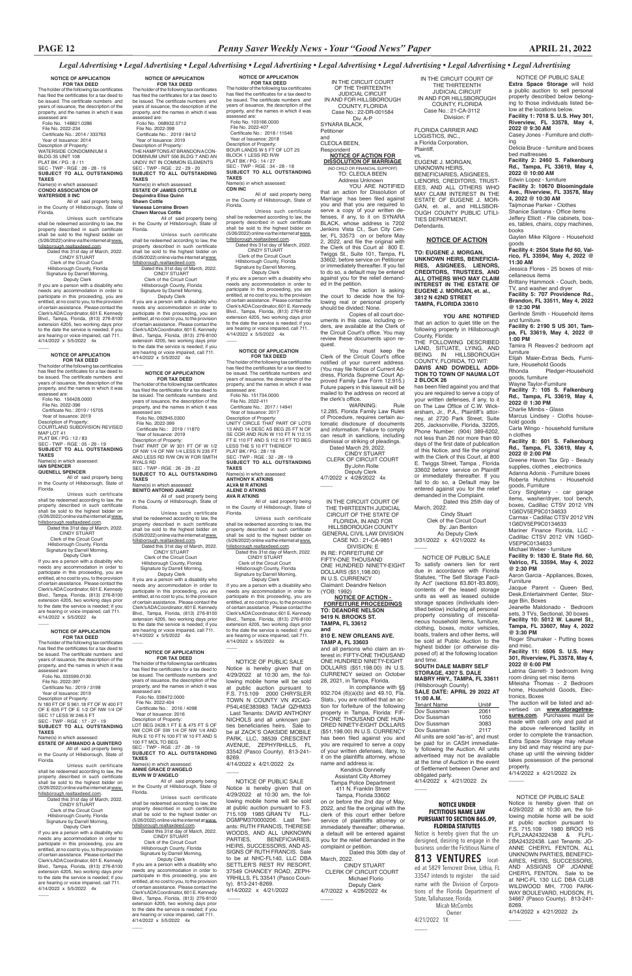### *Legal Advertising • Legal Advertising • Legal Advertising • Legal Advertising • Legal Advertising • Legal Advertising • Legal Advertising • Legal Advertising*

NOTICE OF PUBLIC SALE

**Extra Space Storage** will hold a public auction to sell personal property described below belonging to those individuals listed below at the locations below. **Facility 1: 7018 S. U.S. Hwy 301, Riverview, FL 33578, May 4, 2022 @ 9:30 AM**

Casey Jones - Furniture and clothing

Delicia Bruce - furniture and boxes bed mattresses

**Facility 2: 2460 S. Falkenburg Rd., Tampa, FL 33619, May 4, 2022 @ 10:00 AM**

Elijah Maier-Extras Beds, Furniture, Household Goods<br>Rhonda Pledger-Pledger-Household

Edwin Lopez - furniture **Facility 3: 10670 Bloomingdale Ave., Riverview, FL 33578, May 4, 2022 @ 10:30 AM**

Taijmonae Parker - Clothes Shanice Santana - Office items Jeffery Elliott - File cabinets, boxes, tables, chairs, copy machines, books

Gaylen Mike Kilgore - Household

Greene Haven Tax Grp - Beauty supplies, clothes , electronics Adanna Adonis - Furniture boxes Roberta Hutchins - Household

goods **Facility 4: 2504 State Rd 60, Valrico, FL 33594, May 4, 2022 @** 

**11:30 AM** Jessica Flores - 25 boxes of miscellaneous items

Brittany Hammock - Couch, beds, TV, and washer and dryer **Facility 5: 707 Providence Rd.,** 

**Brandon, FL 33511, May 4, 2022 @ 12:30 PM**

Gerlinde Smith - Household items and furniture. **Facility 6: 2190 S US 301, Tam-**

**pa, FL 33619, May 4, 2022 @ 1:00 PM**

Tamira R Reaves-2 bedroom apt furniture

goods, furniture Wayne Taylor-Furniture **Facility 7: 105 S. Falkenburg Rd., Tampa, FL 33619, May 4,** 

property.  $\overline{\phantom{a}}$ 

**2022 @ 1:30 PM** Charlie Mimbs - Glass Marcus Lindsey - Cloths house-

hold goods

Carla Wingo - household furniture

n clothes

**Facility 8: 601 S. Falkenburg Rd., Tampa, FL 33619, May 4,** 

**2022 @ 2:00 PM**

goods, Furniture

**11:00 A.M.** Tenant Name Unit#<br>Dov Sussman 2061 Dov Sussman

Cory Singletary - car garage items, washer/dryer, tool bench, boxes, Cadillac CTSV 2012 VIN 1G6DV5EP9C0134633 Carmax - Cadillac CTSV 2012 VIN 1G6DV5EP9C0134633 Mariner Finance Florida, LLC - Cadillac CTSV 2012 VIN 1G6D-

The holder of the following tax certificates has filed the certificates for a tax deed to be issued. The certificate numbers and years of issuance, the description of the property, and the names in which it was assessed are: Folio No. 148821.0286 File No. 2022-234 Certificate No.: 2014 / 333763 Year of Issuance: 2014 Description of Property: WATERSIDE CONDOMINIUM II BLDG 35 UNIT 108 PLAT BK / PG : 8 / 11 SEC - TWP - RGE : 28 - 28 - 19 **SUBJECT TO ALL OUTSTANDING TAXES** Name(s) in which assessed:<br>CONDO ASSOCIATION OF

V5EP9C0134633

Michael Weber - furniture **Facility 9: 1830 E. State Rd. 60, Valrico, FL 33594, May 4, 2022** 

**@ 2:30 PM**

Aaron Garcia - Appliances, Boxes,

Furniture

Jacque Parent - Queen Bed, Desk,Entertainment Center, Stor-

age Bin, Boxes

Jeanette Maldonado - Bedroom sets, 3 TVs, Sectional, 30 boxes **Facility 10: 5012 W. Laurel St., Tampa, FL 33607, May 4, 2022** 

**@ 3:30 PM**

Roger Shumaker - Putting boxes and misc. **Facility 11: 6506 S. U.S. Hwy 301, Riverview, FL 33578, May 4,** 

If you are a person with a disability who eds any accommodation in order to participate in this proceeding, you are entitled, at no cost to you, to the provision of certain assistance. Please contact the Clerk's ADA Coordinator, 601 E. Kennedy Blvd., Tampa, Florida, (813) 276-8100 extension 4205, two working days prior to the date the service is needed; if you are hearing or voice impaired, call 711.  $4/14/2022 \times 5/5/2022$  4x  $\overline{\phantom{a}}$ 

**2022 @ 6:00 PM**

Latrina Garrett- 3 bedroom living room dining set misc items Miteisha Thomas - 2 Bedroom home, Household Goods, Elec-

tronics, Boxes

The auction will be listed and advertised on **www.storagetreasures.com**. Purchases must be made with cash only and paid at

the above referenced facility in order to complete the transaction. Extra Space Storage may refuse any bid and may rescind any purchase up until the winning bidder takes possession of the personal 4/14/2022 x 4/21/2022 2x

**FOR TAX DEED**<br>The holder of the following tax certificates<br>has filed the certificates for a tax deed to be issued. The certificate numbers and years of issuance, the description of the property, and the names in which it was assessed are: Folio No. 156428.0000 File No. 2022-396 Certificate No.: 2019 / 15705 Year of Issuance: 2019 Description of Property:

> NOTICE OF PUBLIC SALE To satisfy owners lien for rent due in accordance with Florida Statutes, "The Self Storage Facility Act" (sections 83.801-83.809), contents of the leased storage units as well as leased outside storage spaces (individuals identified below) including all personal property consisting of miscellaneous household items, furniture, clothing, boxes, motor vehicles, boats, trailers and other items, will be sold at Public Auction to the highest bidder (or otherwise disposed of) at the following location and time. **SOUTH DALE MABRY SELF**

### **STORAGE, 4307 S. DALE MABRY HWY., TAMPA, FL 33611** (Hillsborough County) **SALE DATE: APRIL 29 2022 AT**

All of said property being in the County of Hillsborough, State of Florida.

Dov Sussman 1050 Dov Sussman 3083<br>Dov Sussman 2117 Dov Sussman All units are sold "as-is", and must be paid for in CASH immediately following the Auction. All units advertised may not be available at the time of Auction in the event of Settlement between Owner and obligated party. 4/14/2022 x 4/21/2022 2x

 CINDY STUART Clerk of the Circuit Court Hillsborough County, Florida Signature by:Darrell Morning,

**NOTICE OF APPLICATION FOR TAX DEED**

**CONDO ASSOCIATION OF WATERSIDE II INC** All of said property being in the County of Hillsborough, State of Florida.

Unless such certificate shall be redeemed according to law, the property described in such certificate shall be sold to the highest bidder on (5/26/2022) online via the internet at www.

hillsborough.realtaxdeed.com. Dated this 31st day of March, 2022. CINDY STUART Clerk of the Circuit Court Hillsborough County, Florida Signature by:Darrell Morning, Deputy Clerk

> All of said property being in the County of Hillsborough, State of **Florida**

> Unless such certificate shall be redeemed according to law, the property described in such certificate shall be sold to the highest bidder on (5/26/2022) online via the internet at <u>www.</u><br><u>hillsborough.realtaxdeed.com</u>.

Dated this 31st day of March, 2022. CINDY STUART Clerk of the Circuit Court

## **NOTICE OF APPLICATION**

COURTLAND SUBDIVISION REVISED MAP LOT 41 PLAT BK / PG : 12 / 83 SEC - TWP - RGE : 05 - 29 - 19 **SUBJECT TO ALL OUTSTANDING TAXES** Name(s) in which assessed: **IAN SPENCER QUENELL SPENCER**

All of said property being in the County of Hillsborough, State of

Florida. Unless such certificate

shall be redeemed according to law, the property described in such certificate shall be sold to the highest bidder on (5/26/2022) online via the internet at www. hillsborough.realtaxdeed.com.

 Dated this 31st day of March, 2022. CINDY STUART Clerk of the Circuit Court

 Hillsborough County, Florida Signature by:Darrell Morning, Deputy Clerk If you are a person with a disability who needs any accommodation in order to

**FOR TAX DEED**<br>The holder of the following tax certificates<br>has filed the certificates for a tax deed to be issued. The certificate numbers and years of issuance, the description of the property, and the names in which it was assessed are: Folio No. 103166.0000 File No. 2022-407 Certificate No.: 2018 / 11546 Year of Issuance: 2018 Description of Property: BOUR LANDS W 5 FT OF LOT 25 BLOCK 1 LESS RD R/W PLAT BK / PG : 14 / 27 SEC - TWP - RGE : 34 - 28 - 18

participate in this proceeding, you are entitled, at no cost to you, to the provision of certain assistance. Please contact the Clerk's ADA Coordinator, 601 E. Kennedy Blvd., Tampa, Florida, (813) 276-8100 extension 4205, two working days prior to the date the service is needed; if you are hearing or voice impaired, call 711. 4/14/2022 x 5/5/2022 4x

### **NOTICE OF APPLICATION FOR TAX DEED**

The holder of the following tax certificates has filed the certificates for a tax deed to be issued. The certificate numbers and years of issuance, the description of the property, and the names in which it was assessed are:

Folio No. 033599.0130 File No. 2022-397

 $\overline{\phantom{a}}$ 

 Certificate No.: 2019 / 3198 Year of Issuance: 2019 Description of Property: N 180 FT OF S 961.18 FT OF W 400 FT OF E 635 FT OF E 1/2 OF NW 1/4 OF SEC 17 LESS W 246.5 FT

### SEC - TWP - RGE : 17 - 27 - 19 **SUBJECT TO ALL OUTSTANDING TAXES**

### Name(s) in which assessed: **ESTATE OF ARMANDO A QUINTERO**

Unless such certificate shall be redeemed according to law, the property described in such certificate shall be sold to the highest bidder on (5/26/2022) online via the internet at www. hillsborough.realtaxdeed.com. Dated this 31st day of March, 2022.

 Deputy Clerk If you are a person with a disability who needs any accommodation in order to participate in this proceeding, you are entitled, at no cost to you, to the provision of certain assistance. Please contact the Clerk's ADA Coordinator, 601 E. Kennedy Blvd., Tampa, Florida, (813) 276-8100 extension 4205, two working days prior to the date the service is needed; if you are hearing or voice impaired, call 711. 4/14/2022 x 5/5/2022 4x

 $\overline{\phantom{a}}$ 

Description of Property LOT BEG 2428.1 FT E & 475 FT S OF NW COR OF SW 1/4 OF NW 1/4 AND RUN E 10 FT N 100 FT W 10 FT AND S 100 FT MOL TO BEG SEC - TWP - RGE : 27 - 28 - 19 **SUBJECT TO ALL OUTSTANDING TAXES** Name(s) in which assessed

> NOTICE OF PUBLIC SALE Notice is hereby given that on 4/29/2022 at 10:30 am, the following mobile home will be sold at public auction pursuant to F.S. 715.109 1985 GRAN TV FLL-DGMPM370000206. Last Tenants: RUTH FRANCIS, THERESE WOODS, AND ALL UNKNOWN<br>PARTIES, BENEFICIARIES, **BENEFICIARIES,** HEIRS, SUCCESSORS, AND AS-SIGNS OF RUTH FRANCIS. Sale to be at NHC-FL140, LLC DBA SETTLER'S REST RV RESORT, 37549 CHANCEY ROAD, ZEPH-YRHILLS, FL 33541 (Pasco County). 813-241-8269. 4/14/2022 x 4/21/2022  $\overline{\phantom{a}}$

**NOTICE OF APPLICATION FOR TAX DEED** The holder of the following tax certificates has filed the certificates for a tax deed to be issued. The certificate numbers and years of issuance, the description of the

property, and the names in which it was assessed are: Folio No. 068932.5712 File No. 2022-398 Certificate No.: 2019 / 8412 Year of Issuance: 2019 Description of Property: THE HAMPTONS AT BRANDON A CON-DOMINIUM UNIT 556 BLDG 7 AND AN UNDIV INT IN COMMON ELEMENTS SEC - TWP - RGE : 22 - 29 - 20 **SUBJECT TO ALL OUTSTANDING TAXES**

Name(s) in which assessed: **ESTATE OF JAMES COTTLE Dequindra Elise Quinn Shawn Cottle Vanessa Lorraine Brown**

### **Chawn Marcus Cottle**

All of said property being in the County of Hillsborough, State of Florida.

Unless such certificate shall be redeemed according to law, the property described in such certificate shall be sold to the highest bidder on (5/26/2022) online via the internet at www.

hillsborough.realtaxdeed.com. Dated this 31st day of March, 2022. CINDY STUART Clerk of the Circuit Court Hillsborough County, Florida Signature by:Darrell Morning

> By: Jan Benton As Deputy Clerk 3/31/2022 x 4/21/2022 4x  $\overline{\phantom{a}}$

 Deputy Clerk If you are a person with a disability who needs any accommodation in order to participate in this proceeding, you are entitled, at no cost to you, to the provision of certain assistance. Please contact the Clerk's ADA Coordinator, 601 E. Kennedy Blvd., Tampa, Florida, (813) 276-8100 extension 4205, two working days prior to the date the service is needed; if you are hearing or voice impaired, call 711. 4/14/2022 x 5/5/2022 4x

\_\_\_\_

### **NOTICE OF APPLICATION FOR TAX DEED**

Dated this 30th day of March, 2022.

The holder of the following tax certificates has filed the certificates for a tax deed to be issued. The certificate numbers and years of issuance, the description of the property, and the names in which it was assessed are: Folio No. 092945.0300 File No. 2022-399 Certificate No.: 2019 / 11870 Year of Issuance: 2019 Description of Property: THAT PART OF W 301 FT OF W 1/2 OF NW 1/4 OF NW 1/4 LESS N 235 FT AND LESS RD R/W ON W FOR SMITH RYALS RD SEC - TWP - RGE : 26 - 29 - 22 **SUBJECT TO ALL OUTSTANDING TAXES** Name(s) in which assessed: **BENITO ANTONIO JUAREZ**

> CINDY STUART CLERK OF CIRCUIT COURT Michael Florio Deputy Clerk 4/7/2022 x 4/28/2022 4x  $\overline{\phantom{a}}$

> YOU ARE NOTIFIED that an action for Dissolution of Marriage has been filed against you and that you are required to

 Hillsborough County, Florida Signature by:Darrell Morning, Deputy Clerk If you are a person with a disability who

 By:John Rolle Deputy Clerk 4/7/2022 x 4/28/2022 4x  $\overline{\phantom{a}}$ 

needs any accommodation in order to participate in this proceeding, you are entitled, at no cost to you, to the provision of certain assistance. Please contact the Clerk's ADA Coordinator, 601 E. Kennedy Blvd., Tampa, Florida, (813) 276-8100 extension 4205, two working days prior to the date the service is needed; if you are hearing or voice impaired, call 711. 4/14/2022 x 5/5/2022 4x

> 4/21/2022 1X  $\overline{\phantom{a}}$

### **NOTICE OF APPLICATION FOR TAX DEED**

 $\overline{\phantom{a}}$ 

The holder of the following tax certificates has filed the certificates for a tax deed to be issued. The certificate numbers and years of issuance, the description of the property, and the names in which it was assessed are: Folio No. 038472.0000 File No. 2022-404 Certificate No.: 2016 / 4098 Year of Issuance: 2016

### **ANNIE GRACE D'ANGELO ELVIN W D'ANGELO**

All of said property being in the County of Hillsborough, State of Florida.

Unless such certificate shall be redeemed according to law, the property described in such certificate shall be sold to the highest bidder on (5/26/2022) online via the internet at www. hillsborough.realtaxdeed.com.

 Dated this 31st day of March, 2022. CINDY STUART Clerk of the Circuit Court Hillsborough County, Florida Signature by:Darrell Morning, Deputy Clerk

If you are a person with a disability who eds any accommodation in order to participate in this proceeding, you are entitled, at no cost to you, to the provision of certain assistance. Please contact the Clerk's ADA Coordinator, 601 E. Kennedy Blvd., Tampa, Florida, (813) 276-8100 extension 4205, two working days prior to the date the service is needed; if you are hearing or voice impaired, call 711. 4/14/2022 x 5/5/2022 4x

 $\overline{\phantom{a}}$ 

**NOTICE OF APPLICATION** 

**SUBJECT TO ALL OUTSTANDING TAXES** Name(s) in which assessed: **CDN INC**

All of said property being in the County of Hillsborough, State of Florida.

Unless such certificate shall be redeemed according to law, the property described in such certificate shall be sold to the highest bidder on (5/26/2022) online via the internet at www. hillsborough.realtaxdeed.com. Dated this 31st day of March, 2022.

 CINDY STUART Clerk of the Circuit Court Hillsborough County, Florida Signature by:Darrell Morning, Deputy Clerk

If you are a person with a disability who needs any accommodation in order to participate in this proceeding, you are entitled, at no cost to you, to the provision of certain assistance. Please contact the Clerk's ADA Coordinator, 601 E. Kennedy Blvd., Tampa, Florida, (813) 276-8100 extension 4205, two working days prior to the date the service is needed; if you are hearing or voice impaired, call 711. 4/14/2022 x 5/5/2022 4x

## **NOTICE OF APPLICATION FOR TAX DEED**

The holder of the following tax certificates has filed the certificates for a tax deed to be issued. The certificate numbers and years of issuance, the description of the property, and the names in which it was assessed are: Folio No. 151734.0000

File No. 2022-411 Certificate No.: 2017 / 14941

 $\overline{\phantom{a}}$ 

 Year of Issuance: 2017 Description of Property: UNITY CIRCLE THAT PART OF LOTS 13 AND 14 DESC AS BEG 25 FT N OF SE COR AND RUN W 110 FT N 112.15 FT E 110 FT AND S 112.15 FT TO BEG LESS THE S 10 FT THEREOF PLAT BK / PG : 28 / 18 SEC -TWP - RGE : 32 - 28 - 19 **SUBJECT TO ALL OUTSTANDING TAXES** Name(s) in which assessed: **ANTHONY K ATKINS ALVA M R ATKINS ALENE D ATKINS AVA R ATKINS**

All of said property being in the County of Hillsborough, State of Florida.

Unless such certificate shall be redeemed according to law, the property described in such certificate shall be sold to the highest bidder on (5/26/2022) online via the internet at www. hillsborough.realtaxdeed.com. Dated this 31st day of March, 2022. CINDY STUART

 Clerk of the Circuit Court Hillsborough County, Florida Signature by:Darrell Morning,

 Deputy Clerk If you are a person with a disability who needs any accommodation in order to participate in this proceeding, you are entitled, at no cost to you, to the provision of certain assistance. Please contact the Clerk's ADA Coordinator, 601 E. Kennedy Blvd., Tampa, Florida, (813) 276-8100 extension 4205, two working days prior to the date the service is needed; if you are hearing or voice impaired, call 711. 4/14/2022 x 5/5/2022 4x

 $\overline{\phantom{a}}$ 

 $\overline{\phantom{a}}$ 

### NOTICE OF PUBLIC SALE Notice is hereby given that on 4/29/2022 at 10:30 am, the fol-

lowing mobile home will be sold at public auction pursuant to F.S. 715.109 1980 BROO HS FLFL2AA24322438 & FLFL-2BA24322438. Last Tenants: JO-ANNE CHERYL FENTON, ALL UNKNOWN PARTIES, BENEFICI-AIRES, HEIRS, SUCCESSORS, AND ASSIGNS OF JOANNE CHERYL FENTON. Sale to be at NHC-FL 130 LLC DBA CLUB WILDWOOD MH, 7700 PARK-WAY BOULEVARD, HUDSON, FL 34667 (Pasco County). 813-241- 8269. 4/14/2022 x 4/21/2022 2x

 NOTICE OF PUBLIC SALE Notice is hereby given that on 4/29/2022 at 10:30 am, the following mobile home will be sold at public auction pursuant to F.S. 715.109 2000 CHRYSLER TOWN N COUNTY VN #2C4G-P54L45E383983 TAG# QZHM33 Last Tenants: DAVID ANTHONY NICHOLS and all unknown parties beneficiaries heirs. Sale to be at ZACK'S OAKSIDE MOBILE PARK, LLC, 38539 CRESCENT AVENUE, ZEPHYRHILLS, FL 33542 (Pasco County). 813-241- 8269. 4/14/2022 x 4/21/2022 2x

IN THE CIRCUIT COURT OF THE THIRTEENTH JUDICIAL CIRCUIT IN AND FOR HILLSBOROUGH COUNTY, FLORIDA Case No.: 21-CA-3112 Division: F

FLORIDA CARRIER AND LOGISTICS, INC., a Florida Corporation, Plaintiff,

vs. EUGENE J. MORGAN, UNKNOWN HEIRS, BENEFICIARIES, ASIGNEES, LIENORS, CREDITORS, TRUST-EES, AND ALL OTHERS WHO MAY CLAIM INTEREST IN THE ESTATE OF EUGENE J. MOR-GAN, et. al., and HILLSBOR-OUGH COUNTY PUBLIC UTILI-TIES DEPARTMENT, Defendants.

### **NOTICE OF ACTION**

**TO: EUGENE J. MORGAN, UNKNOWN HEIRS, BENEFICIA-RIES, ASIGNEES, LIENORS, CREDITORS, TRUSTEES, AND ALL OTHERS WHO MAY CLAIM INTEREST IN THE ESTATE OF EUGENE J. MORGAN, et. al., 3812 N 42ND STREET TAMPA, FLORIDA 33610**

 **YOU ARE NOTIFIED**  that an action to quiet title on the following property in Hillsborough County, Florida:

THE FOLLOWING DESCRIBED LAND, SITUATE, LYING, AND<br>BEING IN HILLSBOROUGH BEING IN HILLSBOROUGH COUNTY, FLORIDA, TO WIT: **DAVIS AND DOWDELL ADDI-TION TO TOWN OF NAUMA LOT 2 BLOCK 26**

has been filed against you and that you are required to serve a copy of your written defenses, if any, to it on The Law Office of C.W. Wickersham, Jr., P.A., Plaintiff's attorney, at 2720 Park Street, Suite 205, Jacksonville, Florida, 32205, Phone Number: (904) 389-6202, not less than 28 nor more than 60 days of the first date of publication of this Notice, and file the original with the Clerk of this Court, at 800 E. Twiggs Street, Tampa , Florida 33602 before service on Plaintiff or immediately thereafter. If you fail to do so, a Default may be entered against you for the relief demanded in the Complaint. Dated this 25th day of

March, 2022. Cindy Stuart Clek of the Circuit Court

IN THE CIRCUIT COURT OF THE THIRTEENTH JUDICIAL CIRCUIT OF THE STATE OF FLORIDA, IN AND FOR HILLSBOROUGH COUNTY GENERAL CIVIL LAW DIVISION CASE NO.: 21-CA-9851

DIVISION: E IN RE: FORFEITURE OF FIFTY-ONE THOUSAND ONE HUNDRED NINETY-EIGHT DOLLARS (\$51,198.00) IN U.S. CURRENCY Claimant: Deandre Nelson (YOB: 1992)

**NOTICE OF ACTION - FORFEITURE PROCEEDINGS TO: DEANDRE NELSON 9419 N. BROOKS ST. TAMPA, FL 33612 and**

### **810 E. NEW ORLEANS AVE. TAMP A, FL 33603**

and all persons who claim an interest in: FIFTY-ONE THOUSAND ONE HUNDRED NINETY-EIGHT DOLLARS (\$51,198.00) IN U.S. CURRENCY seized on October 28, 2021, in Tampa, Florida.

In compliance with §§ 932.704 (6)(a)(b) and 49.10, Fla. Stats., you are notified that an action for forfeiture of the following property in Tampa, Florida: FIF TY-ONE THOUSAND ONE HUN-DRED NINETY-EIGHT DOLLARS (\$51,198.00) IN U.S. CURRENCY has been filed against you and you are required to serve a copy of your written defenses, ifany, to it on the plaintiffs attorney, whose name and address is: Kendrick Donnelly Assistant City Attorney Tampa Police Department 411 N. Franklin Street Tampa, Florida 33602 on or before the 2nd day of May, 2022, and file the original with the clerk of this court either before service of plainttiffs attorney or immediately thereafter; otherwise, a default will be entered against you for the relief demanded in the complaint or petition.

IN THE CIRCUIT COURT OF THE THIRTEENTH JUDICIAL CIRCUIT IN AND FOR HILLSBOROUGH COUNTY, FLORIDA Case No.: 22-DR-001584 Div. A-P

SYNARA BLACK, Petitioner and CLEOLA BEEN, Respondent **NOTICE OF ACTION FOR DISSOLUTION OF MARRIAGE**

(NO CHILD OR FINANCIAL SUPPORT) TO: CLEOLA BEEN Address Unknown

serve a copy of your written defenses, if any, to it on SYNARA BLACK, whose address is 7202 Jenkins Vista Ct., Sun City Center, FL 33573 on or before May 2, 2022, and file the original with the Clerk of this Court at 800 E. Twiggs St., Suite 101, Tampa, FL 33602, before service on Petitioner or immediately thereafter. If you fail to do so, a default may be entered against you for the relief demand-

ed in the petition. The action is asking the court to decide how the following real or personal property should be divided: None.

Copies of all court documents in this case, including orders, are available at the Clerk of the Circuit Court's office. You may review these documents upon request.

You must keep the Clerk of the Circuit Court's office notified of your current address. (You may file Notice of Current Address, Florida Supreme Court Approved Family Law Form 12.915.) Future papers in this lawsuit will be mailed to the address on record at the clerk's office. WARNING: Rule

12.285, Florida Family Law Rules of Procedure, requires certain automatic disclosure of documents and information. Failure to comply can result in sanctions, including dismissal or striking of pleadings. Dated March 29, 2022. CINDY STUART CLERK OF CIRCUIT COURT

**NOTICE UNDER** 

 $\overline{\phantom{a}}$ 

### **FICTITIOUS NAME LAW PURSUANT TO SECTION 865.09, FLORIDA STATUTES**

 $\overline{\phantom{a}}$ 

Notice is hereby given that the undersigned, desiring to engage in the business under the Fictitious Name of

**813 VENTURES** located at 5829 Terncrest Drive, Lithia, FL 33547 intends to register the said name with the Division of Corporations of the Florida Department of State, Tallahassee, Florida. Micah McCombs Owner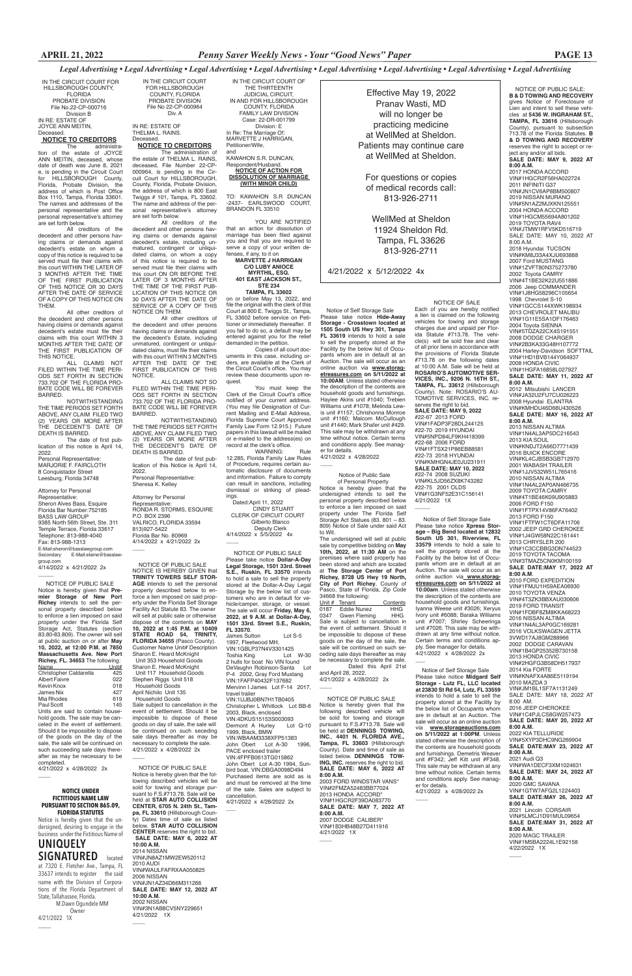NOTICE OF PUBLIC SALE Notice is hereby given that **Premier Storage of New Port Richey** intends to sell the personal property described below to enforce a lien imposed on said property under the Florida Self Storage Act, Statutes (section 83.80-83.809). The owner will sell at public auction on or after **May 10, 2022, at 12:00 P.M. at 7850 Massachusetts Ave. New Port Richey, FL. 34653** The following:

hold goods. The sale may be canceled in the event of settlement. Should it be impossible to dispose of the goods on the day of the sale, the sale will be continued on such succeeding sale days thereafter as may be necessary to be completed. 4/21/2022 x 4/28/2022 2x

IN THE CIRCUIT COURT FOR HILLSBOROUGH COUNTY, FLORIDA PROBATE DIVISION File No.22-CP-000716 Division B IN RE: ESTATE OF JOYCE ANN MEITIN, **Deceased** 

## **NOTICE TO CREDITORS**<br>The administra-

| Name                             | Unit# |
|----------------------------------|-------|
| Christopher Caldarella           | 425   |
| <b>Albert Faivre</b>             | 022   |
| Kevin Knox                       | 018   |
| James Nix                        | 427   |
| Mia Rhodes                       | 619   |
| Paul Scott                       | 145   |
| Units are said to contain house- |       |
|                                  |       |

The administration of the estate of JOYCE ANN MEITIN, deceased, whose date of death was June 8, 2021 e, is pending in the Circuit Court for HILLSBOROUGH County, Florida, Probate Division, the address of which is Post Office Box 1110, Tampa, Florida 33601. The names and addresses of the personal representative and the personal representative's attorney are set forth below.

IN RE: ESTATE OF THELMA L. RAINS. **Deceased** 

All creditors of the decedent and other persons having claims or demands against decedent's estate on whom a copy of this notice is required to be served must file their claims with this court WITHIN THE LATER OF 3 MONTHS AFTER THE TIME OF THE FIRST PUBLICATION OF THIS NOTICE OR 30 DAYS AFTER THE DATE OF SERVICE OF A COPY OF THIS NOTICE ON THEM.

All other creditors of the decedent and other persons having claims or demands against decedent's estate must file their claims with this court WITHIN 3 MONTHS AFTER THE DATE OF THE FIRST PUBLICATION OF THIS NOTICE.

ALL CLAIMS NOT FILED WITHIN THE TIME PERI-ODS SET FORTH IN SECTION 733.702 OF THE FLORIDA PRO-BATE CODE WILL BE FOREVER BARRED.

> Attorney for Personal Representative: RONDA R. STORMS, ESQUIRE P.O. BOX 2396 VALRICO, FLORIDA 33594 813)927-5422 Florida Bar No. 80969 4/14/2022 x 4/21/2022 2x  $\overline{\phantom{a}}$

NOTWITHSTANDING THE TIME PERIODS SET FORTH ABOVE, ANY CLAIM FILED TWO (2) YEARS OR MORE AFTER THE DECEDENT'S DATE OF DEATH IS BARRED.

TO: KAWAHON S.R DUNCAN -2437- EARLSWOOD COURT, BRANDON FL 33510

The date of first publication of this notice is April 14, 2022. Personal Representative: MARJORIE F. FAIRCLOTH

8 Conquistador Street Leesburg, Florida 34748

### Attorney for Personal

Representative: Sheron Alves Bass, Esquire Florida Bar Number:752185 BASS LAW GROUP 9385 North 56th Street, Ste. 311 Temple Terrace, Florida 33617 Telephone: 813-988-4040 Fax: 813-988-1313 E-Mail:sheron@basslawgroup.com<br>Secondary E-Mail:elaine@bass E-Mail:elaine@basslaw group.com 4/14/2022 x 4/21/2022 2x

 $\overline{\phantom{a}}$ 

IN THE CIRCUIT COURT FOR HILLSBOROUGH COUNTY, FLORIDA PROBATE DIVISION File No 22-CP-000964 Div. A

### **NOTICE TO CREDITORS**

WARNING: Rule 12.285, Florida Family Law Rules of Procedure, requires certain automatic disclosure of documents and information. Failure to comply can result in sanctions, including dismissal or striking of pleadings.

The administration of the estate of THELMA L. RAINS, deceased, File Number 22-CP-000964, is pending in the Circuit Court for HILLSBOROUGH, County, Florida, Probate Division, the address of which is 800 East Twiggs # 101, Tampa, FL 33602. The name and address of the personal representative's attorney are set forth below.

All creditors of the decedent and other persons having claims or demands against decedent's estate, including unmatured, contingent or unliquidated claims, on whom a copy of this notice is required to be served must file their claims with this court ON OR BEFORE THE LATER OF 3 MONTHS AFTER THE TIME OF THE FIRST PUB-LICATION OF THIS NOTICE OR 30 DAYS AFTER THE DATE OF SERVICE OF A COPY OF THIS NOTICE ON THEM.

> 4/21/2022 1X  $\overline{\phantom{a}}$

 $\overline{\phantom{0}}$ 

All other creditors of the decedent and other persons having claims or demands against the decedent's Estate, including unmatured, contingent or unliquidated claims, must file their claims with this court WITHIN 3 MONTHS AFTER THE DATE OF THE FIRST PUBLICATION OF THIS NOTICE.

ALL CLAIMS NOT SO FILED WITHIN THE TIME PERI-ODS SET FORTH IN SECTION 733.702 OF THE FLORIDA PRO-BATE CODE WILL BE FOREVER BARRED.

NOTWITHSTANDING THE TIME PERIODS SET FORTH ABOVE, ANY CLAIM FILED TWO (2) YEARS OR MORE AFTER THE DECEDENT'S DATE OF DEATH IS BARRED.

> 1997, Fleetwood MH, VIN:1GBLP37N4V3301425<br>Toshia King Lot W-30 Toshia King Lot W-30 2 hulls for boat No VIN found DeVaughn Robinson-Santa Lot P-4 2002, Gray Ford Mustang VIN:1FAFP40432F137682 Mervinn I James Lot F-14 2017, travel trailer VIN:1UJBJ0BN7H1TB0405 Christopher L Whitlock Lot BB-6 2003, Black, enclosed VIN:4DKUS15153S003093<br>Dermont A Hurley Lot Q-10 Dermont A Hurley 1999, Black, BMW VIN:WBAAM3338XFP51383<br>John Obert Lot A-30 1996. John Obert Lot A-30 PACE enclosed trailer VIN:4FPFB0613TG015862 John Obert Lot A-30 1994, Sunbird boat, VIN:DBGA0098D494 Purchased items are sold as is and must be removed at the time of the sale. Sales are subject to cancellation. 4/21/2022 x 4/28/2022 2x  $\overline{\phantom{a}}$

 The date of first publication of this Notice is April 14, 2022. Personal Representative: Sheresa K. Kelley

IN THE CIRCUIT COURT OF THE THIRTEENTH JUDICIAL CIRCUIT, IN AND FOR HILLSBOROUGH COUNTY, FLORIDA FAMILY LAW DIVISION Case: 22-DR-001799 Division: E In Re: The Marriage Of: MARVETTE J HARRIGAN, Petitioner/Wife, and KAWAHON S.R. DUNCAN, Respondent/Husband. **NOTICE OF ACTION FOR DISSOLUTION OF MARRIAGE** 

**(WITH MINOR CHILD)**

YOU ARE NOTIFIED that an action for dissolution of marriage has been filed against you and that you are required to serve a copy of your written defenses, if any, to it on

### **MARVETTE J HARRIGAN C/O LUBY ANIOCE MYRTHIL, ESQ. 401 EAST JACKSON ST., STE 234 TAMPA, FL 33602**

on or before May 13, 2022, and file the original with the clerk of this Court at 800 E. Twiggs St., Tampa, FL 33602 before service on Petitioner or immediately thereafter. If you fail to do so, a default may be entered against you for the relief demanded in the petition.

Copies of all court documents in this case, including orders, are available at the Clerk of the Circuit Court's office. You may review these documents upon request.

You must keep the Clerk of the Circuit Court's office notified of your current address. (You may file Designation of Current Mailing and E-Mail Address, Florida Supreme Court Approved Family Law Form 12.915.) Future papers in this lawsuit will be mailed or e-mailed to the address(es) on record at the clerk's office.

 Dated:April 11, 2022 CINDY STUART CLERK OF CIRCUIT COURT Gilberto Blanco Deputy Clerk 4/14/2022 x 5/5/2022 4x

 $\overline{\phantom{a}}$ 

Effective May 19, 2022 Pranav Wasti, MD will no longer be practicing medicine at WellMed at Sheldon. Patients may continue care at WellMed at Sheldon.

For questions or copies of medical records call: 813-926-2711

WellMed at Sheldon 11924 Sheldon Rd. Tampa, FL 33626 813-926-2711

4/21/2022 x 5/12/2022 4x

 NOTICE OF PUBLIC SALE NOTICE IS HEREBY GIVEN that **TRINITY TOWERS SELF STOR-AGE** intends to sell the personal property described below to enforce a lien imposed on said property under the Florida Self Storage Facility Act Statute 83. The owner will sell at public sale or otherwise dispose of the contents on **MAY 10, 2022 at 1:45 P.M. at 10409 STATE ROAD 54, TRINITY, FLORIDA 34655** (Pasco County). Customer Name Unit# Description Sharon E. Heard McKnight Unit 353 Household Goods Sharon E. Heard McKnight Unit 117 Household Goods Stephen Riggs Unit 518 Household Goods April Nichilo Unit 135 Household Goods Sale subject to cancellation in the event of settlement. Should it be impossible to dispose of these goods on day of sale, the sale will be continued on such seceding sale days thereafter as may be necessary to complete the sale. 4/21/2022 x 4/28/2022 2x

and April 28, 2022. 4/21/2022 x 4/28/2022 2x  $\overline{\phantom{a}}$ 

4/21/2022 1X  $\overline{\phantom{a}}$ 

 NOTICE OF PUBLIC SALE Please take notice **Dollar-A-Day Legal Storage, 1501 33rd. Street S.E., Ruskin, FL 33570** intends to hold a sale to sell the property stored at the Dollar-A-Day Legal Storage by the below list of customers who are in default for vehicle/camper, storage, or vessel. The sale will occur **Friday, May 6, 2022, at 9 A.M. at Dollar-A-Day, 1501 33rd. Street S.E., Ruskin, FL 33570**. James Sutton Lot S-5

### **NOTICE UNDER FICTITIOUS NAME LAW PURSUANT TO SECTION 865.09, FLORIDA STATUTES**

Notice is hereby given that the undersigned, desiring to engage in the business under the Fictitious Name of

## **UNIQUELY SIGNATURED** located at 7320 E. Fletcher Ave., Tampa, FL

 $\overline{\phantom{a}}$ 

 $\overline{\phantom{a}}$ 

33637 intends to register the said name with the Division of Corporations of the Florida Department of State, Tallahassee, Florida.

NOTICE OF SALE Each of you are hereby notified a lien is claimed on the following vehicles for towing and storage charges due and unpaid per Florida Statute #713.78. The vehicle(s) will be sold free and clear of all prior liens in accordance with the provisions of Florida Statute #713.78 on the following dates at 10:00 A.M. Sale will be held at **ROSARIO'S AUTOMOTIVE SER-VICES, INC., 9206 N. 16TH ST., TAMPA, FL. 33612** (Hillsborough County). Note: ROSARIO'S AU-TOMOTIVE SERVICES, INC. reserves the right to bid. **SALE DATE: MAY 9, 2022** #22-67 2013 FORD VIN#1FADP3F28DL244125 #22-70 2019 HYUNDAI VIN#5NPD84LF9KH418399 #22-68 2006 FORD VIN#1FTSX21P86EB88581 #22-73 2018 HYUNDAI VIN#KMHGN4JE0JU231911 **SALE DATE: MAY 10, 2022** #22-74 2008 SUZUKI VIN#KL5JD56ZX8K743282 #22-75 2001 OLDS VIN#1G3NF52E31C156141 **8:00 A.M.** 8:00 A.M. **8:00 A.M. 8:00 A.M.**

 M.Dawn Ogundele MM Owner 4/21/2022 1X

 Notice of Self Storage Sale Please take notice **Xpress Storage – Big Bend located at 12832 South US 301, Riverview, FL 33579** intends to hold a sale to sell the property stored at the Facility by the below list of Occupants whom are in default at an Auction. The sale will occur as an online auction via **www.storagetreasures.com on 5/11/2022 at 10:00am**. Unless stated otherwise the description of the contents are household goods and furnishings. Iyanna Weese unit #3026; Xeryus Ivory unit #6088; Baraka Williams unit #7007; Shirley Scheeringa unit #7026. This sale may be withdrawn at any time without notice. Certain terms and conditions apply. See manager for details. 4/21/2022 x 4/28/2022 2x

 Notice of Self Storage Sale Please take notice **Hide-Away Storage - Crosstown located at 1505 South US Hwy 301, Tampa FL 33619** intends to hold a sale to sell the property stored at the Facility by the below list of Occupants whom are in default at an Auction. The sale will occur as an online auction via **www.storagetreasures.com on 5/11/2022 at 10:00AM**. Unless stated otherwise the description of the contents are household goods and furnishings. Haylee Akins unit #1040; Trebien Williams unit #1078; Melinda Lewis unit #1157; Chrishonna Monroe unit #1160; Malcom McCullough unit #1440; Mark Shafer unit #429. This sale may be withdrawn at any time without notice. Certain terms and conditions apply. See manager for details. 4/21/2022 x 4/28/2022

# NOTICE OF PUBLIC SALE:

**B & D TOWING AND RECOVERY** 

 Notice of Self Storage Sale Please take notice **Midgard Self Storage - Lutz FL, LLC located at 23830 St Rd 54, Lutz, FL 33559**  intends to hold a sale to sell the property stored at the Facility by the below list of Occupants whom are in default at an Auction. The sale will occur as an online auction via **www.storageauctions.com on 5/11/2022 at 1:00PM**. Unless stated otherwise the description of the contents are household goods and furnishings. Demetris Weaver unit #F342; Jeff Kitt unit #F348. This sale may be withdrawn at any time without notice. Certain terms and conditions apply. See manager for details. 4/21/2022 x 4/28/2022 2x  $\overline{\phantom{a}}$ 8:00 AM. 2016 JEEP CHEROKEE

gives Notice of Foreclosure of Lien and intent to sell these vehicles at **5436 W. INGRAHAM ST., TAMPA, FL 33616** (Hillsborough County), pursuant to subsection 713.78 of the Florida Statutes. **B & D TOWING AND RECOVERY** reserves the right to accept or reject any and/or all bids. **SALE DATE: MAY 9, 2022 AT**  2017 HONDA ACCORD VIN#1HGCR2F56HA022724 2011 INFINITI G37 VIN#JN1CV6AP8BM500807 2019 NISSAN MURANO VIN#5N1AZ2MJXKN125551 2004 HONDA ACCORD VIN#1HGCM55694A801202 2019 TOYOTA RAV4 VIN#JTMW1RFV5KD516719 SALE DATE: MAY 10, 2022 AT 2018 Hyundai TUCSON VIN#KM8J33A4XJU693888 2007 Ford MUSTANG VIN#1ZVFT80N375273780 2002 Toyota CAMRY VIN#4T1BE32K22U551886 2006 Jeep COMMANDER VIN#1J8HG58296C105654 1998 Chevrolet S-10 VIN#1GCCS144XWK198934 2013 CHEVROLET MALIBU VIN#1G11E5SA1DF176463 2004 Toyota SIENNA VIN#5TDZA22CX4S191551 2008 DODGE CHARGER VIN#2B3KA33G48H107772 2004 Harley-Davidson SOFTTAIL VIN#1HD1BVB144Y064937 2008 HONDA CIVIC VIN#1HGFA16858L027927 **SALE DATE: MAY 11, 2022 AT**  2012 Mitsubishi LANCER VIN#JA32U2FU7CU026223 2008 Hyundai ELANTRA VIN#KMHDU46D68U430526 **SALE DATE: MAY 16, 2022 AT**  2013 NISSAN ALTIMA VIN#1N4AL3AP5DC216543 2013 KIA SOUL VIN#KNDJT2A66D7771439 2016 BUICK ENCORE VIN#KL4CJBSB3GB712970 2001 WABASH TRAILER VIN#1JJV532W51L765416 2010 NISSAN ALTIMA VIN#1N4AL2AP0AN466735 2009 TOYOTA CAMRY VIN#4T1BE46K09U905883 2006 FORD F150 VIN#1FTPX14V86FA76402 2013 FORD F150 VIN#1FTFW1CT6DFA11706 2002 JEEP GRD CHEROKEE VIN#1J4GW58N22C161441 2013 CHRYSLER 200 VIN#1C3CCBBG3DN744523 2019 TOYOTA TACOMA VIN#3TMAZ5CN0KM100159 **SALE DATE:MAY 17, 2022 AT 8:00 A.M**. 2010 FORD EXPEDITION VIN#1FMJU1H59AEA06930 2010 TOYOTA VENZA VIN#4T3ZK3BBXAU030606 2019 FORD TRANSIT VIN#1FDBF8ZM8KKA68223 2016 NISSAN ALTIMA VIN#1N4AL3AP0GC169281 2016 VOLKSWAGEN JETTA 3VWD17AJ8GM288966 2002 DODGE CARAVAN VIN#1B4GP25352B730158 2013 HONDA CIVIC VIN#2HGFG3B58DH517937 2014 Kia FORTE VIN#KNAFX4A86E5119194 2010 MAZDA 3 VIN#JM1BL1SF7A1131249 SALE DATE: MAY 18, 2022 AT

### VIN#1C4PJLCS8GW257473 **SALE DATE: MAY 20, 2022 AT 8:00 A.M.** 2022 KIA TELLURIDE VIN#5XYP3DHC9NG269904 **SALE DATE:MAY 23, 2022 AT 8:00 A.M.** 2021 Audi Q3 VIN#WA1DECF3XM1024631

**SALE DATE: MAY 24, 2022 AT 8:00 A.M.**

2020 GMC SAVANA VIN#1GTW7AFG2L1224403 **SALE DATE:MAY 26, 2022 AT 8:00 A.M.** 2021 Lincoln CORSAIR VIN#5LMCJ1D91MUL09654 **SALE DATE:MAY 31, 2022 AT 8:00 A.M.** 2020 MAGC TRAILER VIN#1M5BA2224L1E92158 4/22/2022 1X

 $\overline{\phantom{a}}$ 

 NOTICE OF PUBLIC SALE Notice is hereby given that the following described vehicles will be sold for towing and storage pursuant to F.S.#713.78. Sale will be held at **STAR AUTO COLLISION CENTER, 6705 N. 24th St., Tampa, FL 33610** (Hillsborough County) Dates time of sale as listed below. **STAR AUTO COLLISION CENTER** reserves the right to bid.  **SALE DATE: MAY 6, 2022 AT 10:00 A.M.** 2014 NISSAN VIN#JN8AZ1MW2EW520112 2010 AUDI VIN#WAULFAFRXAA050825 2006 NISSAN VIN#JN1AZ34D66M311266 **SALE DATE: MAY 12, 2022 AT 10:00 A.M.** 2002 NISSAN VIN#3N1AB8CV5NY229651 4/21/2022 1X

 $\overline{\phantom{a}}$ 

 $\overline{\phantom{a}}$ 

 Notice of Public Sale of Personal Property Notice is hereby given that the undersigned intends to sell the personal property described below to enforce a lien imposed on said property under The Florida Self Storage Act Statues (83. 801 – 83. 809) Notice of Sale under said Act

 $\overline{\phantom{a}}$ 

to Wit. The undersigned will sell at public sale by competitive bidding on **May 10th, 2022, at 11:30 AM** on the premises where said property has been stored and which are located at **The Storage Center of Port Richey, 8728 US Hwy 19 North, City of Port Richey**, County of Pasco, State of Florida, Zip Code 34668 the following: Unit # Tenant Contents Eddie Nunez 0347 Gwen Fleming HHG Sale is subject to cancellation in the event of settlement. Should it be impossible to dispose of these goods on the day of the sale, the sale will be continued on such seceding sale days thereafter as may be necessary to complete the sale. Dated this April 21st

 NOTICE OF PUBLIC SALE Notice is hereby given that the following described vehicle will be sold for towing and storage pursuant to F.S.#713.78. Sale will be held at **DENNINGS TOWING, INC.**, **4401 N. FLORIDA AVE., Tampa, FL 33603** (Hillsborough County). Date and time of sale as listed below. **DENNINGS TOW-ING, INC.** reserves the right to bid. **SALE DATE: MAY 6, 2022 AT 8:00 A.M.** 2003 FORD WINDSTAR VANS\* VIN#2FMZA52483BB77024 2013 HONDA ACCORD\* VIN#1HGCR2F39DA083770 **SALE DATE: MAY 7, 2022 AT 8:00 A.M.** 2007 DODGE CALIBER\* VIN#1B3HB48B27D411916